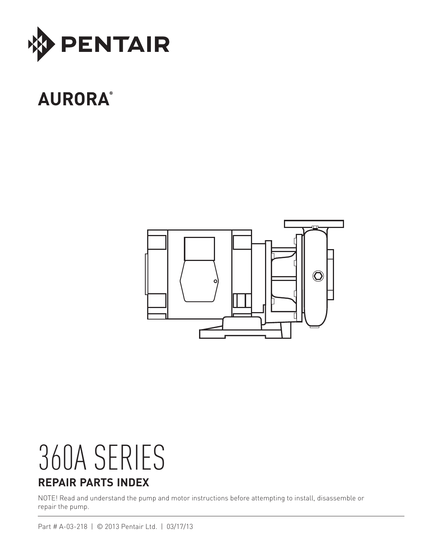

# **AURORA®**



# 360A SERIES **REPAIR PARTS INDEX**

NOTE! Read and understand the pump and motor instructions before attempting to install, disassemble or repair the pump.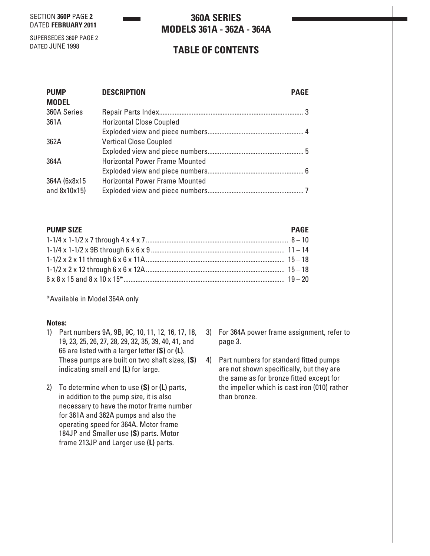SECTION **360P** PAGE **2** DATED **FEBRUARY 2011**

## **360A SERIES MODELS 361A - 362A - 364A**

SUPERSEDES 360P PAGE 2 DATED JUNE 1998

# **TABLE OF CONTENTS**

| <b>PUMP</b>   | <b>DESCRIPTION</b><br><b>PAGE</b>     |  |
|---------------|---------------------------------------|--|
| <b>MODEL</b>  |                                       |  |
| 360A Series   |                                       |  |
| 361A          | <b>Horizontal Close Coupled</b>       |  |
|               |                                       |  |
| 362A          | <b>Vertical Close Coupled</b>         |  |
|               |                                       |  |
| 364A          | <b>Horizontal Power Frame Mounted</b> |  |
|               |                                       |  |
| 364A (6x8x15  | <b>Horizontal Power Frame Mounted</b> |  |
| and $8x10x15$ |                                       |  |

### **PUMP SIZE** PAGE

\*Available in Model 364A only

#### **Notes:**

- 1) Part numbers 9A, 9B, 9C, 10, 11, 12, 16, 17, 18, 19, 23, 25, 26, 27, 28, 29, 32, 35, 39, 40, 41, and 66 are listed with a larger letter **(S)** or **(L)**. These pumps are built on two shaft sizes, **(S)** indicating small and **(L)** for large.
- 2) To determine when to use **(S)** or **(L)** parts, in addition to the pump size, it is also necessary to have the motor frame number for 361A and 362A pumps and also the operating speed for 364A. Motor frame 184JP and Smaller use **(S)** parts. Motor frame 213JP and Larger use **(L)** parts.
- 3) For 364A power frame assignment, refer to page 3.
- 4) Part numbers for standard fitted pumps are not shown specifically, but they are the same as for bronze fitted except for the impeller which is cast iron (010) rather than bronze.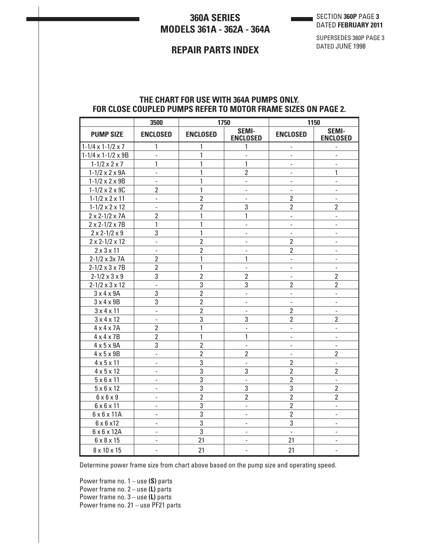# **360A SERIES MODELS 361A - 362A - 364A**

SECTION **360P** PAGE **3** DATED **FEBRUARY 2011**

## **REPAIR PARTS INDEX**

SUPERSEDES 360P PAGE 3 DATED JUNE 1998

## **THE CHART FOR USE WITH 364A PUMPS ONLY. FOR CLOSE COUPLED PUMPS REFER TO MOTOR FRAME SIZES ON PAGE 2.**

|                                | 3500                     |                 | 1750                            |                          | 1150                     |
|--------------------------------|--------------------------|-----------------|---------------------------------|--------------------------|--------------------------|
| <b>PUMP SIZE</b>               | <b>ENCLOSED</b>          | <b>ENCLOSED</b> | <b>SEMI-</b><br><b>ENCLOSED</b> | <b>ENCLOSED</b>          | SEMI-<br><b>ENCLOSED</b> |
| $1-1/4 \times 1-1/2 \times 7$  | $\mathbf{1}$             | 1               | $\mathbf{1}$                    | $\overline{\phantom{a}}$ | $\overline{\phantom{a}}$ |
| $1-1/4 \times 1-1/2 \times 9B$ | $\frac{1}{2}$            | 1               | $\overline{\phantom{0}}$        | L,                       | $\overline{a}$           |
| $1 - 1/2 \times 2 \times 7$    | 1                        | 1               | 1                               | $\overline{a}$           | -                        |
| $1 - 1/2 \times 2 \times 9A$   | $\overline{a}$           | 1               | $\overline{2}$                  | $\frac{1}{2}$            | 1                        |
| $1 - 1/2 \times 2 \times 9B$   | $\overline{a}$           | 1               | $\frac{1}{2}$                   | ÷,                       | $\frac{1}{2}$            |
| $1 - 1/2 \times 2 \times 90$   | $\overline{2}$           | $\mathbf{1}$    | Ĭ.                              | $\overline{a}$           | $\overline{a}$           |
| $1 - 1/2 \times 2 \times 11$   | L,                       | $\overline{2}$  | $\overline{a}$                  | $\overline{2}$           | $\overline{a}$           |
| $1 - 1/2 \times 2 \times 12$   | $\overline{a}$           | $\overline{2}$  | 3                               | $\overline{2}$           | $\overline{2}$           |
| $2 \times 2 - 1/2 \times 7$ A  | $\overline{2}$           | 1               | $\mathbf{1}$                    | $\overline{\phantom{a}}$ | $\overline{\phantom{m}}$ |
| $2 \times 2 - 1/2 \times 7B$   | 1                        | 1               | $\overline{a}$                  | $\overline{a}$           | $\overline{a}$           |
| $2 \times 2 - 1/2 \times 9$    | 3                        | 1               | $\overline{a}$                  | $\overline{a}$           | $\overline{a}$           |
| $2 \times 2 - 1/2 \times 12$   | $\overline{a}$           | $\overline{2}$  | L,                              | $\overline{2}$           | $\overline{a}$           |
| $2 \times 3 \times 11$         | $\overline{a}$           | $\overline{2}$  | $\overline{\phantom{0}}$        | $\overline{2}$           | $\overline{\phantom{0}}$ |
| $2 - 1/2 \times 3 \times 7$ A  | $\overline{2}$           | 1               | 1                               | $\overline{\phantom{a}}$ | $\overline{\phantom{0}}$ |
| $2 - 1/2 \times 3 \times 7B$   | $\overline{2}$           | 1               | $\overline{\phantom{0}}$        | $\overline{\phantom{0}}$ | $\overline{\phantom{0}}$ |
| $2 - 1/2 \times 3 \times 9$    | 3                        | $\overline{2}$  | $\overline{2}$                  | L,                       | $\overline{2}$           |
| $2 - 1/2 \times 3 \times 12$   | $\overline{a}$           | 3               | 3                               | $\overline{2}$           | $\overline{2}$           |
| $3 \times 4 \times 9$ A        | 3                        | $\overline{2}$  | $\overline{a}$                  | $\overline{a}$           | $\overline{a}$           |
| $3 \times 4 \times 9B$         | 3                        | $\overline{2}$  | Ĭ.                              | Ĭ.                       | $\overline{a}$           |
| $3 \times 4 \times 11$         | $\overline{a}$           | $\overline{2}$  | $\overline{a}$                  | $\overline{2}$           | $\overline{a}$           |
| $3 \times 4 \times 12$         | $\overline{a}$           | 3               | 3                               | $\overline{2}$           | $\overline{2}$           |
| $4 \times 4 \times 7$ A        | $\overline{2}$           | 1               | $\overline{a}$                  | L,                       | $\overline{a}$           |
| $4 \times 4 \times 7B$         | $\overline{2}$           | 1               | 1                               | $\overline{a}$           | $\overline{a}$           |
| $4 \times 5 \times 9$ A        | 3                        | $\overline{2}$  | $\frac{1}{2}$                   | $\overline{\phantom{a}}$ | $\frac{1}{2}$            |
| $4 \times 5 \times 9B$         | $\overline{a}$           | $\overline{2}$  | $\overline{2}$                  | $\overline{\phantom{a}}$ | $\overline{2}$           |
| $4 \times 5 \times 11$         | -                        | 3               | $\qquad \qquad \blacksquare$    | $\overline{2}$           | $\overline{\phantom{a}}$ |
| $4 \times 5 \times 12$         | -                        | 3               | 3                               | $\overline{2}$           | $\overline{2}$           |
| $5 \times 6 \times 11$         | $\overline{a}$           | 3               | L,                              | $\overline{2}$           | $\overline{a}$           |
| $5 \times 6 \times 12$         | $\overline{a}$           | $\overline{3}$  | 3                               | 3                        | $\overline{2}$           |
| $6 \times 6 \times 9$          | $\overline{a}$           | $\overline{2}$  | $\overline{2}$                  | $\overline{2}$           | $\overline{2}$           |
| $6 \times 6 \times 11$         | $\overline{a}$           | $\overline{3}$  | $\overline{\phantom{0}}$        | $\overline{2}$           | $\overline{\phantom{0}}$ |
| $6 \times 6 \times 11$ A       | $\overline{a}$           | $\overline{3}$  | $\overline{a}$                  | $\overline{2}$           | $\overline{a}$           |
| $6 \times 6 \times 12$         | $\overline{\phantom{0}}$ | 3               | $\overline{\phantom{0}}$        | 3                        | $\overline{a}$           |
| 6 x 6 x 12A                    | $\overline{a}$           | 3               | $\overline{a}$                  | L,                       | $\frac{1}{2}$            |
| 6 x 8 x 15                     | $\overline{a}$           | 21              | $\overline{a}$                  | 21                       | $\overline{a}$           |
| 8 x 10 x 15                    | $\overline{a}$           | 21              | $\overline{a}$                  | 21                       | L,                       |

Determine power frame size from chart above based on the pump size and operating speed.

Power frame no. 1 – use **(S)** parts Power frame no. 2 – use **(L)** parts Power frame no. 3 – use **(L)** parts Power frame no. 21 – use PF21 parts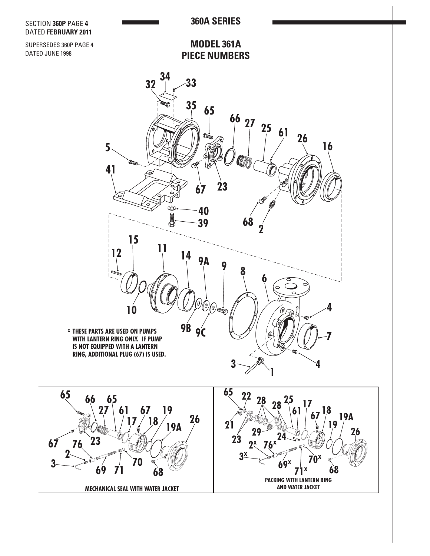

**PACKING WITH LANTERN RING AND WATER JACKET**

**MECHANICAL SEAL WITH WATER JACKET**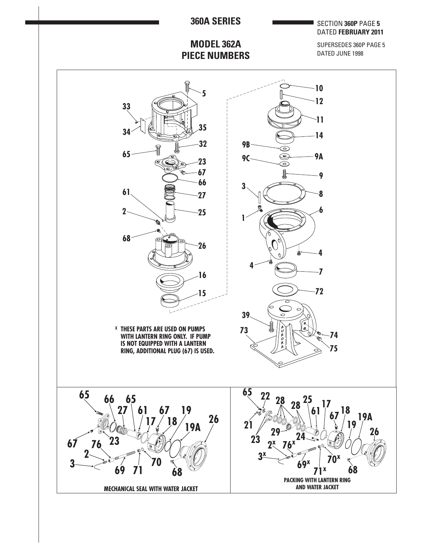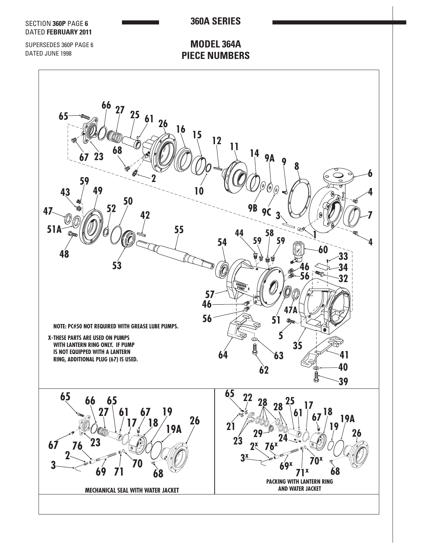

**MECHANICAL SEAL WITH WATER JACKET**

**AND WATER JACKET**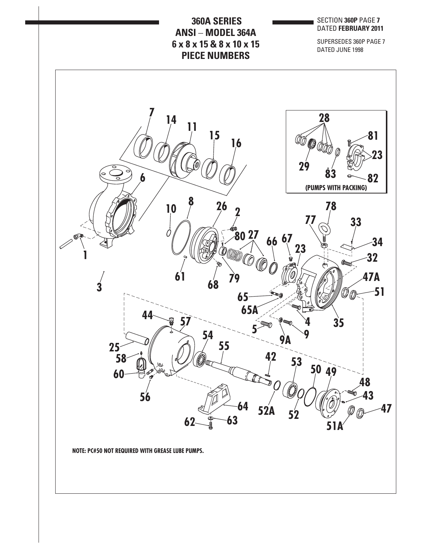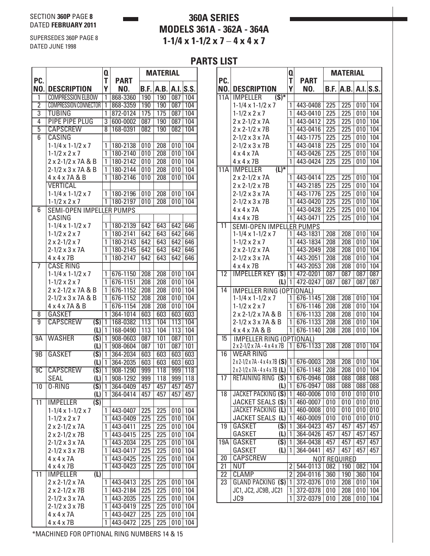# **360A SERIES MODELS 361A - 362A - 364A 1-1/4 x 1-1/2 x 7** – **4 x 4 x 7**

SUPERSEDES 360P PAGE 8 DATED JUNE 1998

## **PARTS LIST**

|                           |                                     | Q              |                    |      | <b>MATERIAL</b> |                  |           |
|---------------------------|-------------------------------------|----------------|--------------------|------|-----------------|------------------|-----------|
| PC.<br>NO.                | <b>DESCRIPTION</b>                  | T<br>Y         | <b>PART</b><br>NO. | B.F. | A.B.            |                  | A.I. S.S. |
| 1                         | <b>COMPRESSION ELBOW</b>            | 1              | 868-3360           | 190  | 190             | 087              | 104       |
| $\overline{2}$            | COMPRESSION CONNECTOR               | $\overline{1}$ | 868-3359           | 190  | 190             | 087              | 104       |
| $\overline{\overline{3}}$ | <b>TUBING</b>                       | $\overline{1}$ | 872-0124           | 175  | 175             | 087              | 104       |
| $\overline{4}$            | <b>PIPE PIPE PLUG</b>               | $\overline{3}$ | 600-0002           | 087  | 190             | 087              | 104       |
| $\overline{5}$            | <b>CAPSCREW</b>                     | $\overline{8}$ | 168-0391           | 082  | 190             | 082              | 104       |
| $\overline{6}$            | CASING                              |                |                    |      |                 |                  |           |
|                           | $1-1/4 \times 1-1/2 \times 7$       | 1              | 180-2138           | 010  | 208             | 010              | 104       |
|                           | $1 - 1/2 \times 2 \times 7$         | 1              | 180-2140           | 010  | 208             | 010              | 104       |
|                           | 2 x 2-1/2 x 7A & B                  | 1              | 180-2142           | 010  | 208             | 010              | 104       |
|                           | 2-1/2 x 3 x 7A & B                  | 1              | 180-2144           | 010  | 208             | 010              | 104       |
|                           | 4 x 4 x 7 A & B                     | 1              | 180-2146           | 010  | 208             | 010              | 104       |
|                           | <b>VERTICAL</b>                     |                |                    |      |                 |                  |           |
|                           | $1-1/4 \times 1-1/2 \times 7$       | 1              | 180-2196           | 010  | 208             | 010              | 104       |
|                           | $1 - 1/2 \times 2 \times 7$         | 1              | 180-2197           | 010  | 208             | 010              | 104       |
| $\overline{6}$            | SEMI-OPEN IMPELLER PUMPS<br>CASING  |                |                    |      |                 |                  |           |
|                           | $1-1/4 \times 1-1/2 \times 7$       | 1              | 180-2139           | 642  | 643             | 642              | 646       |
|                           | $1 - 1/2 \times 2 \times 7$         | 1              | 180-2141           | 642  | 643             | 642              | 646       |
|                           | $2 \times 2 - 1/2 \times 7$         | 1              | 180-2143           | 642  | 643             | 642              | 646       |
|                           | $2 - 1/2 \times 3 \times 7A$        | 1              | 180-2145           | 642  | 643             | 642              | 646       |
|                           | $4 \times 4 \times 7B$              | 1              | 180-2147           | 642  | 643             | 642              | 646       |
| 7                         | <b>CASE RING</b>                    |                |                    |      |                 |                  |           |
|                           | $1-1/4 \times 1-1/2 \times 7$       | $\overline{1}$ | 676-1150           | 208  | 208             | 010              | 104       |
|                           | $1 - 1/2 \times 2 \times 7$         | 1              | 676-1151           | 208  | 208             | 010              | 104       |
|                           | 2 x 2-1/2 x 7A & B                  | 1              | 676-1152           | 208  | 208             | 010              | 104       |
|                           | 2-1/2 x 3 x 7A & B                  | 1              | 676-1152           | 208  | 208             | $\overline{010}$ | 104       |
|                           | 4 x 4 x 7 A & B                     | 1              | 676-1154           | 208  | 208             | 010              | 104       |
| 8                         | <b>GASKET</b>                       | $\overline{1}$ | 364-1014           | 603  | 603             | 603              | 603       |
| $\overline{9}$            | $\overline{(S)}$<br><b>CAPSCREW</b> | $\overline{1}$ | 168-0382           | 113  | 104             | 113              | 104       |
|                           | (L)                                 | 1              | 168-0490           | 113  | 104             | 113              | 104       |
| 9A                        | <b>WASHER</b><br>(S)                | 1              | 908-0603           | 087  | 101             | 087              | 101       |
|                           | (L)                                 | 1              | 908-0604           | 087  | 101             | 087              | 101       |
| 9B                        | $\overline{(S)}$<br><b>GASKET</b>   | ī              | 364-2034           | 603  | 603             | 603              | 603       |
|                           | (L)                                 | 1              | 364-2035           | 603  | 603             | 603              | 603       |
| 9C                        | <b>CAPSCREW</b><br>$\overline{(S)}$ | ī              | 908-1290           | 999  | 118             | 999              | 118       |
|                           | <b>SEAL</b><br>(L)                  | $\mathbf{1}$   | 908-1292           | 999  | 118             | 999              | 118       |
| 10                        | $(S)$  1<br>0-RING                  |                | 364-0409           | 457  | 457             | 457              | 457       |
| $\overline{11}$           | (L)<br><b>IMPELLER</b><br>(S)       | 1              | 364-0414           | 457  | 457             | 457              | 457       |
|                           | $1 - 1/4 \times 1 - 1/2 \times 7$   | 1              | 443-0407           | 225  | 225             | 010              | 104       |
|                           | $1 - 1/2 \times 2 \times 7$         | 1              | 443-0409           | 225  | 225             | 010              | 104       |
|                           | $2 \times 2 - 1/2 \times 7$ A       | 1              | 443-0411           | 225  | 225             | 010              | 104       |
|                           | $2 \times 2 - 1/2 \times 7B$        | 1              | 443-0415           | 225  | 225             | 010              | 104       |
|                           | $2 - 1/2 \times 3 \times 7$ A       | 1              | 443-2034           | 225  | 225             | 010              | 104       |
|                           | $2 - 1/2 \times 3 \times 7B$        | 1              | 443-0417           | 225  | 225             | 010              | 104       |
|                           | $4 \times 4 \times 7$ A             | 1              | 443-0425           | 225  | 225             | 010              | 104       |
|                           | $4 \times 4 \times 7B$              | $\overline{1}$ | 443-0423           | 225  | 225             | 010              | 104       |
| $\overline{11}$           | $\overline{L}$<br><b>IMPELLER</b>   |                |                    |      |                 |                  |           |
|                           | $2 \times 2 - 1/2 \times 7$ A       | 1              | 443-0413           | 225  | 225             | 010              | 104       |
|                           | $2 \times 2 - 1/2 \times 7B$        | 1              | 443-2184           | 225  | 225             | 010              | 104       |
|                           | $2 - 1/2 \times 3 \times 7$ A       | 1              | 443-2035           | 225  | 225             | 010              | 104       |
|                           | $2 - 1/2 \times 3 \times 7B$        | 1              | 443-0419           | 225  | 225             | 010              | 104       |
|                           | $4 \times 4 \times 7$ A             | 1              | 443-0427           | 225  | 225             | 010              | 104       |
|                           | $4 \times 4 \times 7B$              | 1              | 443-0472           | 225  | 225             | 010              | 104       |

**PC.** T PART<br>No. description Y No. **NO. DESCRIPTION Y NO. B.F. A.B. A.I. S.S.** 11A IMPELLER **(S)\***  $1-1/4 \times 1-1/2 \times 7$  | 1 443-0408 | 225 | 225 | 010 | 104  $1-1/2 \times 2 \times 7$  1 443-0410 225 225 010 104 2 x 2-1/2 x 7A 1 443-0412 225 225 010 104  $2 \times 2 - 1/2 \times 7B$  1 443-0416 225 225 010 104  $2-1/2 \times 3 \times 7$ A 1 443-1775 | 225 | 225 | 010 | 104  $2-1/2 \times 3 \times 7B$  1 443-0418 225 225 010 104  $4 \times 4 \times 7$ A 1 443-0426 225 225 010 104 4 x 4 x 7B 1 443-0424 225 225 010 104 11A IMPELLER **(L)\***   $2 \times 2 - 1/2 \times 7$ A 1 443-0414 225 225 010 104 2 x 2-1/2 x 7B 1 443-2185 225 225 010 104  $2-1/2 \times 3 \times 7$ A 1 443-1776 | 225 | 225 | 010 | 104  $2-1/2 \times 3 \times 7B$  1 443-0420 225 225 010 104  $4 \times 4 \times 7$ A 1 443-0428 225 225 010 104 4 x 4 x 7B 1 443-0471 225 225 010 104 11  $1-1/4 \times 1-1/2 \times 7$  | 1 443-1831 | 208 | 208 | 010 | 104  $1-1/2 \times 2 \times 7$  1 443-1834 208 208 010 104  $2 \times 2 - 1/2 \times 7$ A 1 443-2049 208 208 010 104  $2-1/2 \times 3 \times 7$ A 1 443-2051 208 208 010 104 4 x 4 x 7B 1 443-2053 208 208 010 104 12 | **IMPELLER KEY** (S) | 1 | 472-0201 | 087 | 087 | 087 | 087 **(L)** 1 472-0247 087 087 087 087 14 IMPELLER RING IMPELLER RING (OPTIONAL)  $1-1/4 \times 1-1/2 \times 7$  | 1 | 676-1145 | 208 | 208 | 010 | 104  $1-1/2 \times 2 \times 7$  1 676-1146 208 208 010 104  $2 \times 2 - 1/2 \times 7$ A & B  $|1|$  676-1133 | 208 | 208 | 010 | 104  $2-1/2 \times 3 \times 7A \& B$  1 676-1133 208 208 010 104  $4 \times 4 \times 7$ A & B 1 676-1140 | 208 | 208 | 010 | 104 15 2 x 2-1/2 x 7A - 4 x 4 x 7B 1 676-1133 208 208 010 104 16 WEAR RING 2 x 2-1/2 x 7A - 4 x 4 x 7B **(S)** 1 | 676-0003 | 208 | 208 | 010 | 104 2 x 2-1/2 x 7A - 4 x 4 x 7B **(L)** 1 676-1148 208 208 010 104 17 RETAINING RING **(S)** 1 676-0946 088 088 088 088 **(L)** 1 676-0947 088 088 088 088 18 JACKET PACKING **(S)** 1 460-0006 010 010 010 010 JACKET SEALS **(S)** 1 460-0007 010 010 010 010 JACKET PACKING **(L)** 1 460-0008 010 010 010 010 JACKET SEALS (**L**)|1|460-0009 | 010 | 010 | 010 | 010 19 GASKET **(S)** 1 364-0423 457 457 457 457 GASKET **(L)** 1 364-0426 457 457 457 457 19A GASKET **(S)** 1 364-0438 457 457 457 457 GASKET **(L)** 1 364-0441 457 457 457 457 20 CAPSCREW 21 | NUT | 2 | 544-0113 | 082 | 190 | 082 | 104 22 CLAMP 2 204-0116 360 190 360 104 23 GLAND PACKING **(S)** 1 372-0376 010 208 010 104 JC1, JC2, JC9B, JC21 1 372-0378 010 208 010 104 JC9 1 372-0379 010 208 010 104 SEMI-OPEN IMPELLER PUMPS NOT REQUIRED IMPELLER RING (OPTIONAL)

 **Q Material**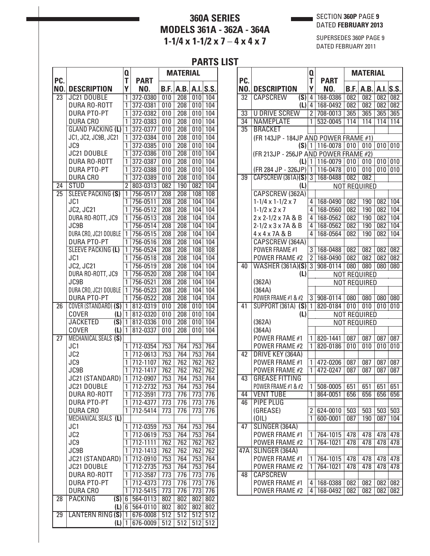# **360A SERIES MODELS 361A - 362A - 364A**  $1-1/4 \times 1-1/2 \times 7-4 \times 4 \times 7$

#### SECTION **360P** PAGE **9** DATED **FEBRUARY 2013**

SUPERSEDES 360P PAGE 9 DATED FEBRUARY 2011

|                 |                                            |                |                      | FAN I J                 |                  |            |            |
|-----------------|--------------------------------------------|----------------|----------------------|-------------------------|------------------|------------|------------|
| PC.             |                                            | Q<br>т         | <b>PART</b>          |                         | <b>MATERIAL</b>  |            |            |
| NO.             | <b>DESCRIPTION</b>                         | Υ              | NO.                  | B.F.                    | A.B.             |            | A.I. S.S.  |
| 23              | <b>JC21 DOUBLE</b>                         | 1              | 372-0380             | 010                     | 208              | 010        | 104        |
|                 | DURA RO-ROTT                               | 1              | 372-0381             | 010                     | 208              | 010        | 104        |
|                 | <b>DURA PTO-PT</b>                         | 1              | 372-0382             | 010                     | 208              | 010        | 104        |
|                 | <b>DURA CRO</b>                            | 1              | 372-0383             | 010                     | 208              | 010        | 104        |
|                 | <b>GLAND PACKING (L)</b>                   | $\overline{1}$ | 372-0377             | 010                     | 208              | 010        | 104        |
|                 | JC1, JC2, JC9B, JC21                       | 1              | 372-0384             | 010                     | 208              | 010        | 104        |
|                 | JC9                                        | 1              | 372-0385             | 010                     | 208              | 010        | 104        |
|                 | JC21 DOUBLE                                | 1              | 372-0386             | 010                     | 208              | 010        | 104        |
|                 | DURA RO-ROTT                               | 1              | 372-0387             | 010                     | 208              | 010        | 104        |
|                 | <b>DURA PTO-PT</b>                         | 1              | 372-0388             | 010                     | 208              | 010        | 104        |
|                 | <b>DURA CRO</b>                            | 1              | 372-0389             | 010                     | 208              | 010        | 104        |
| 24              | <b>STUD</b>                                | $\overline{2}$ | 803-0313             | 082                     | 190              | 082        | 104        |
| $\overline{25}$ | SLEEVE PACKING (S)                         | 1              | 756-0517             | 208                     | 208              | 108        | 108        |
|                 | JC1                                        | 1              | 756-0511             | 208                     | 208              | 104        | 104        |
|                 | JC2, JC21                                  | 1              | 756-0512             | 208                     | 208              | 104        | 104        |
|                 | DURA RO-ROTT, JC9                          | 1              | 756-0513             | 208                     | 208              | 104        | 104        |
|                 | JC9B                                       | 1              | 756-0514             | 208                     | 208              | 104        | 104        |
|                 | DURA CRO, JC21 DOUBLE                      | 1              | 756-0515             | 208                     | 208              | 104        | 104        |
|                 | <b>DURA PTO-PT</b>                         | 1              | 756-0516             | 208                     | 208              | 104        | 104        |
|                 | <b>SLEEVE PACKING (L)</b>                  | 1              | 756-0524             | 208                     | 208              | 108        | 108        |
|                 | JC1                                        | 1              | 756-0518             | 208                     | 208              | 104        | 104        |
|                 | <b>JC2, JC21</b>                           | 1              | 756-0519             | 208                     | 208              | 104        | 104        |
|                 | DURA RO-ROTT, JC9                          | 1              | 756-0520             | 208                     | 208              | 104        | 104        |
|                 | JC9B                                       | 1              | 756-0521             | 208                     | 208              | 104        | 104        |
|                 | DURA CRO, JC21 DOUBLE                      | 1              | 756-0523             | 208                     | 208              | 104        | 104        |
|                 | <b>DURA PTO-PT</b>                         | 1              | 756-0522             | 208                     | 208              | 104        | 104        |
| $\overline{26}$ | COVER (STANDARD) (S)                       | $\overline{1}$ | 812-0319             | 010                     | 208              | 010        | 104        |
|                 | <b>COVER</b><br>(L)                        | $\mathbf{1}$   | 812-0320             | 010                     | 208              | 010        | 104        |
|                 | <b>JACKETED</b><br>$\overline{\text{(S)}}$ | $\mathbf{1}$   | 812-0336             | 010                     | 208              | 010        | 104        |
|                 | <b>COVER</b><br>(L)                        | $\mathbf{1}$   | 812-0337             | 010                     | 208              | 010        | 104        |
| $\overline{27}$ | MECHANICAL SEALS (S)                       |                |                      |                         |                  |            |            |
|                 | JC1                                        | 1              | 712-0354             | 753                     | 764              | 753        | 764        |
|                 | JC <sub>2</sub>                            | 1              | 712-0613             | 753                     | 764              | 753        | 764        |
|                 | JC9                                        | 1<br>1         | 712-1107             | 762                     | 762              | 762        | 762        |
|                 | JC9B                                       | $\overline{1}$ | 712-1417<br>712-0907 | 762<br>$\overline{753}$ | 762<br>764       | 762<br>753 | 762<br>764 |
|                 | JC21 (STANDARD)<br>JC21 DOUBLE             | 1              |                      |                         | 764              |            | 764        |
|                 | <b>DURA RO-ROTT</b>                        | 1              | 712-2732<br>712-3591 | 753<br>773              | 776              | 753<br>773 | 776        |
|                 | <b>DURA PTO-PT</b>                         | 1              | 712-4377             | 773                     | 776              | 773        | 776        |
|                 | <b>DURA CRO</b>                            | 1              | 712-5414             | 773                     | $\overline{776}$ | 773        | 776        |
|                 | MECHANICAL SEALS (L)                       |                |                      |                         |                  |            |            |
|                 | JC1                                        | 1              | 712-0359             | 753                     | 764              | 753        | 764        |
|                 | JC <sub>2</sub>                            | 1              | 712-0619             | 753                     | 764              | 753        | 764        |
|                 | JC9                                        | 1              | 712-1111             | 762                     | 762              | 762        | 762        |
|                 | JC9B                                       | 1              | 712-1413             | 762                     | 762              | 762        | 762        |
|                 | JC21 (STANDARD)                            | 1              | 712-0910             | 753                     | 764              | 753        | 764        |
|                 | JC21 DOUBLE                                | 1              | 712-2735             | 753                     | 764              | 753        | 764        |
|                 | DURA RO-ROTT                               | 1              | 712-3587             | 773                     | 776              | 773        | 776        |
|                 | <b>DURA PTO-PT</b>                         | 1              | 712-4373             | 773                     | 776              | 773        | 776        |
|                 | <b>DURA CRO</b>                            | 1              | 712-5415             | 773                     | 776              | 773        | 776        |
| 28              | $\overline{(S)}$<br><b>PACKING</b>         | $\overline{6}$ | 564-0113             | 802                     | 802              | 802        | 802        |
|                 | $(L)$ 6                                    |                | 564-0110             | 802                     | 802              | 802        | 802        |
| 29              | <b>LANTERN RING (S)</b>                    | $\mathbf{1}$   | 676-0008             | 512                     | 512              | 512        | 512        |
|                 | (L)                                        | 1              | 676-0009             | 512                     | 512              | 512        | 512        |
|                 |                                            |                |                      |                         |                  |            |            |

|                 |                                       | Q              |                      |                  | <b>MATERIAL</b>     |                  |            |
|-----------------|---------------------------------------|----------------|----------------------|------------------|---------------------|------------------|------------|
| PC.             |                                       | T              | PART                 |                  |                     |                  |            |
| NO.             | <b>DESCRIPTION</b><br><b>CAPSCREW</b> | Υ              | NO.                  | B.F.             | A.B.                |                  | A.I. S.S.  |
| $\overline{32}$ | (S)                                   | 4<br>4         | 168-0386<br>168-0492 | 082<br>082       | 082<br>082          | $\overline{082}$ | 082        |
| $\overline{33}$ | (L)<br><b>U DRIVE SCREW</b>           | $\overline{2}$ | 708-0013             | 365              | 365                 | 082<br>365       | 082<br>365 |
| 34              | <b>NAMEPLATE</b>                      | 1              | 532-0045             | 114              | 114                 | 114              | 114        |
| $\overline{35}$ | <b>BRACKET</b>                        |                |                      |                  |                     |                  |            |
|                 | (FR 143JP - 184JP AND POWER FRAME #1) |                |                      |                  |                     |                  |            |
|                 | $(S)$   1                             |                | 116-0078             | 010              | 010                 | 010              | 010        |
|                 | (FR 213JP - 256JP AND POWER FRAME #2) |                |                      |                  |                     |                  |            |
|                 | (L)                                   | $\mathbf{1}$   | 116-0079             | 010              | 010                 | 010              | 010        |
|                 | (FR 284 JP - 326JP)                   | $\mathbf{1}$   | 116-0478             | 010              | 010                 | 010              | 010        |
| $\overline{39}$ | $CAPSCREW$ (361A)(S) 3                |                | 168-0488             | 082              | 082                 |                  |            |
|                 | (L)                                   |                |                      |                  | <b>NOT REQUIRED</b> |                  |            |
|                 | CAPSCREW (362A)                       |                |                      |                  |                     |                  |            |
|                 | $1-1/4 \times 1-1/2 \times 7$         | 4              | 168-0490             | 082              | 190                 | $\overline{082}$ | 104        |
|                 | $1 - 1/2 \times 2 \times 7$           | 4              | 168-0560             | $\overline{082}$ | 190                 | 082              | 104        |
|                 | 2 x 2-1/2 x 7A & B                    | 4              | 168-0562             | 082              | 190                 | 082              | 104        |
|                 | 2-1/2 x 3 x 7A & B                    | 4              | 168-0562             | 082              | 190                 | 082              | 104        |
|                 | 4 x 4 x 7 A & B                       | 4              | 168-0564             | 082              | 190                 | 082              | 104        |
|                 | CAPSCREW (364A)                       |                |                      |                  |                     |                  |            |
|                 | POWER FRAME #1                        | 3              | 168-0488             | 082              | 082                 | 082              | 082        |
|                 | POWER FRAME #2                        | $\overline{2}$ | 168-0490             | 082              | 082                 | 082              | 082        |
| 40              | <b>WASHER (361A)(S)</b>               | $\overline{3}$ | 908-0114             | 080              | 080                 | 080              | 080        |
|                 | (L)                                   |                |                      |                  | <b>NOT REQUIRED</b> |                  |            |
|                 | (362A)                                |                |                      |                  | <b>NOT REQUIRED</b> |                  |            |
|                 | (364A)                                |                |                      |                  |                     |                  |            |
|                 | POWER FRAME #1 & #2                   | 3              | 908-0114             | 080              | 080                 | 080              | 080        |
| $\overline{41}$ | <b>SUPPORT (361A) (S)</b>             | 1              | 820-0184             | 010              | 010                 | 010              | 010        |
|                 | (L)<br>(362A)                         |                |                      |                  | <b>NOT REQUIRED</b> |                  |            |
|                 | (364A)                                |                |                      |                  | <b>NOT REQUIRED</b> |                  |            |
|                 | POWER FRAME #1                        | 1              | 820-1441             | 087              | 087                 | 087              | 087        |
|                 | POWER FRAME #2                        | 1              | 820-0186             | 010              | 010                 | 010              | 010        |
| 42              | DRIVE KEY (364A)                      |                |                      |                  |                     |                  |            |
|                 | POWER FRAME #1                        | 1              | 472-0206             | 087              | 087                 | 087              | 087        |
|                 | POWER FRAME #2                        | 1              | 472-0247             | 087              | 087                 | 087              | 087        |
| $\overline{43}$ | <b>GREASE FITTING</b>                 |                |                      |                  |                     |                  |            |
|                 | POWER FRAME #1 & #2                   | 1              | 508-0005             | 651              | 651                 | 651              | 651        |
| 44              | <b>VENT TUBE</b>                      | 1              | 864-0051             | 656              | 656                 | 656              | 656        |
| 46              | <b>PIPE PLUG</b>                      |                |                      |                  |                     |                  |            |
|                 | (GREASE)                              | 2              | 624-0010             | 503              | 503                 | 503              | 503        |
|                 | (OIL)                                 | 1              | 600-0001             | 087              | 190                 | 087              | 104        |
| 47              | SLINGER (364A)                        |                |                      |                  |                     |                  |            |
|                 | POWER FRAME #1                        | 1              | 764-1015             | 478              | 478                 | 478              | 478        |
|                 | POWER FRAME #2                        | 1              | 764-1021             | 478              | 478                 | 478              | 478        |
| 47A             | SLINGER (364A)                        |                |                      |                  |                     |                  |            |
|                 | <b>POWER FRAME #1</b>                 | 1              | 764-1015             | 478              | 478                 | 478              | 478        |
|                 | POWER FRAME #2                        | 1              | 764-1021             | 478              | 478                 | 478              | 478        |
| 48              | <b>CAPSCREW</b>                       |                |                      |                  |                     |                  |            |
|                 | POWER FRAME #1                        | 4              | 168-0388             | 082              | 082                 | 082              | 082        |
|                 | <b>POWER FRAME #2</b>                 | 4              | 168-0492             | 082              | 082                 | 082              | 082        |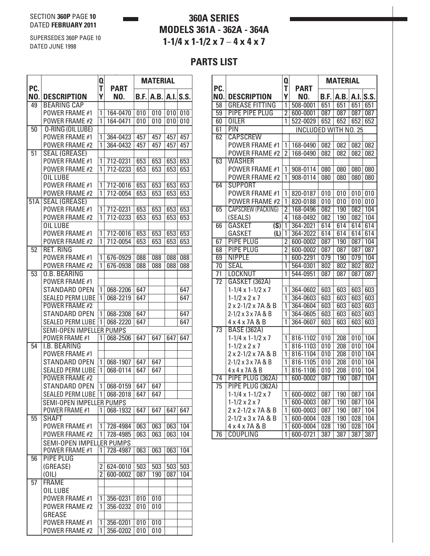SUPERSEDES 360P PAGE 10

DATED JUNE 1998

# **360A SERIES MODELS 361A - 362A - 364A 1-1/4 x 1-1/2 x 7** – **4 x 4 x 7**

|                  |                                                  | Q              |                      |            | <b>MATERIAL</b> |     |          |
|------------------|--------------------------------------------------|----------------|----------------------|------------|-----------------|-----|----------|
| PC.<br>NO.       | <b>DESCRIPTION</b>                               | T<br>Υ         | <b>PART</b><br>NO.   | B.F.       | A.B.            |     | A.I.S.S. |
| 49               | <b>BEARING CAP</b>                               |                |                      |            |                 |     |          |
|                  | POWER FRAME #1                                   | 1              | 164-0470             | 010        | 010             | 010 | 010      |
|                  | <b>POWER FRAME #2</b>                            | 1              | 164-0471             | 010        | 010             | 010 | 010      |
| $\overline{50}$  | O-RING (OIL LUBE)                                |                |                      |            |                 |     |          |
|                  | POWER FRAME #1                                   | 1              | 364-0423             | 457        | 457             | 457 | 457      |
|                  | POWER FRAME #2                                   | 1              | 364-0432             | 457        | 457             | 457 | 457      |
| $\overline{51}$  | <b>SEAL (GREASE)</b>                             |                |                      |            |                 |     |          |
|                  | POWER FRAME #1                                   | 1              | 712-0231             | 653        | 653             | 653 | 653      |
|                  | <b>POWER FRAME #2</b>                            | 1              | 712-0233             | 653        | 653             | 653 | 653      |
|                  | <b>OIL LUBE</b>                                  |                |                      |            |                 |     |          |
|                  | POWER FRAME #1                                   | 1              | 712-0016             | 653        | 653             | 653 | 653      |
|                  | POWER FRAME #2                                   | 1              | 712-0054             | 653        | 653             | 653 | 653      |
| $\overline{51A}$ | <b>SEAL (GREASE)</b>                             |                |                      |            |                 |     |          |
|                  | POWER FRAME #1                                   | 1              | 712-0231             | 653        | 653             | 653 | 653      |
|                  | POWER FRAME #2                                   | 1              | 712-0233             | 653        | 653             | 653 | 653      |
|                  | OIL LUBE                                         |                |                      |            |                 |     |          |
|                  | <b>POWER FRAME #1</b>                            | 1              | 712-0016             | 653        | 653             | 653 | 653      |
|                  | POWER FRAME #2                                   | 1              | 712-0054             | 653        | 653             | 653 | 653      |
| $\overline{52}$  | <b>RET. RING</b>                                 |                |                      |            |                 |     |          |
|                  | POWER FRAME #1                                   | 1              | 676-0929             | 088        | 088             | 088 | 088      |
|                  | POWER FRAME #2                                   | 1              | 676-0938             | 088        | 088             | 088 | 088      |
| $\overline{53}$  | <b>O.B. BEARING</b>                              |                |                      |            |                 |     |          |
|                  | <b>POWER FRAME #1</b>                            |                |                      |            |                 |     |          |
|                  | STANDARD OPEN                                    | 1              | 068-2206             | 647        |                 |     | 647      |
|                  | <b>SEALED PERM LUBE</b><br><b>POWER FRAME #2</b> | 1              | 068-2219             | 647        |                 |     | 647      |
|                  | STANDARD OPEN                                    | 1              | 068-2308             | 647        |                 |     | 647      |
|                  | <b>SEALED PERM LUBE</b>                          | 1              | 068-2220             | 647        |                 |     | 647      |
|                  | <b>SEMI-OPEN IMPELLER PUMPS</b>                  |                |                      |            |                 |     |          |
|                  | <b>POWER FRAME #1</b>                            | 1              | 068-2506             | 647        | 647             | 647 | 647      |
| $\overline{54}$  | <b>I.B. BEARING</b>                              |                |                      |            |                 |     |          |
|                  | POWER FRAME #1                                   |                |                      |            |                 |     |          |
|                  | <b>STANDARD OPEN</b>                             | 1              | 068-1907             | 647        | 647             |     |          |
|                  | <b>SEALED PERM LUBE</b>                          | 1              | 068-0114             | 647        | 647             |     |          |
|                  | <b>POWER FRAME #2</b>                            |                |                      |            |                 |     |          |
|                  | STANDARD OPEN                                    | 1              | 068-0159             | 647        | 647             |     |          |
|                  | SEALED PERM LUBE                                 | 1 <sup>1</sup> | 068-2018             | 647        | 647             |     |          |
|                  | SEMI-OPEN IMPELLER PUMPS                         |                |                      |            |                 |     |          |
|                  | <b>POWER FRAME #1</b>                            | 1              | 068-1932             | 647        | 647             | 647 | 647      |
| 55               | <b>SHAFT</b>                                     |                |                      |            |                 |     |          |
|                  | <b>POWER FRAME #1</b>                            | 1              | 728-4984             | 063        | 063             | 063 | 104      |
|                  | <b>POWER FRAME #2</b>                            | 1              | 728-4985             | 063        | 063             | 063 | 104      |
|                  | SEMI-OPEN IMPELLER PUMPS                         |                |                      |            |                 |     |          |
|                  | POWER FRAME #1                                   | 1              | 728-4987             | 063        | 063             | 063 | 104      |
| 56               | <b>PIPE PLUG</b>                                 |                |                      |            |                 |     |          |
|                  | (GREASE)                                         | 2              | 624-0010             | 503        | 503             | 503 | 503      |
|                  | (OIL)                                            | $\overline{2}$ | 600-0002             | 087        | 190             | 087 | 104      |
| $\overline{57}$  | <b>FRAME</b>                                     |                |                      |            |                 |     |          |
|                  | OIL LUBE                                         |                |                      |            |                 |     |          |
|                  | POWER FRAME #1                                   | 1              | 356-0231             | 010        | 010             |     |          |
|                  | <b>POWER FRAME #2</b>                            | 1              | 356-0232             | 010        | 010             |     |          |
|                  | GREASE<br>POWER FRAME #1                         | 1              |                      |            | 010             |     |          |
|                  | POWER FRAME #2                                   | 1              | 356-0201<br>356-0202 | 010<br>010 | 010             |     |          |
|                  |                                                  |                |                      |            |                 |     |          |

|                 |                                          | Q              |                             |                  | <b>MATERIAL</b>  |                  |                  |
|-----------------|------------------------------------------|----------------|-----------------------------|------------------|------------------|------------------|------------------|
| PC.<br>NO.      | <b>DESCRIPTION</b>                       | T<br>Y         | <b>PART</b><br>NO.          | B.F.             | A.B.             |                  | $A.I.$ S.S.      |
| 58              | <b>GREASE FITTING</b>                    | 1              | 508-0001                    | 651              | 651              | 651              | 651              |
| $\overline{59}$ | <b>PIPE PIPE PLUG</b>                    | $\overline{2}$ | 600-0001                    | 087              | 087              | 087              | 087              |
| 60              | <b>OILER</b>                             | 1              | 522-0029                    | 652              | 652              | 652              | 652              |
| $\overline{61}$ | $\overline{PIN}$                         |                | <b>INCLUDED WITH NO. 25</b> |                  |                  |                  |                  |
| $\overline{62}$ | <b>CAPSCREW</b>                          |                |                             |                  |                  |                  |                  |
|                 | POWER FRAME #1                           | 1              | 168-0490                    | 082              | 082              | 082              | 082              |
|                 | <b>POWER FRAME #2</b>                    | $\overline{2}$ | 168-0490                    | $\overline{082}$ | $\overline{082}$ | $\overline{082}$ | 082              |
| $\overline{63}$ | <b>WASHER</b>                            |                |                             |                  |                  |                  |                  |
|                 | POWER FRAME #1                           | 1              | 908-0114                    | 080              | 080              | 080              | 080              |
|                 | POWER FRAME #2                           | 1              | 908-0114                    | 080              | 080              | 080              | 080              |
| 64              | <b>SUPPORT</b>                           |                |                             |                  |                  |                  |                  |
|                 | POWER FRAME #1                           | 1              | 820-0187                    | $\overline{010}$ | $\overline{010}$ | $\overline{010}$ | $\overline{010}$ |
|                 | POWER FRAME #2                           | 1              | 820-0188                    | $\overline{010}$ | $\overline{010}$ | $\overline{010}$ | 010              |
| 65              | <b>CAPSCREW (PACKING)</b>                | 2              | 168-0496                    | 082              | 190              | 082              | 104              |
|                 | (SEALS)                                  | 4              | 168-0492                    | $\overline{082}$ | 190              | $\overline{082}$ | 104              |
| 66              | $\overline{\text{(S)}}$<br><b>GASKET</b> | 1              | 364-2021                    | 614              | 614              | 614              | 614              |
|                 | <b>GASKET</b><br>(L)                     | 1              | 364-2022                    | 614              | 614              | 614              | 614              |
| 67              | <b>PIPE PLUG</b>                         | $\overline{2}$ | 600-0002                    | 087              | 190              | 087              | 104              |
| $\overline{68}$ | <b>PIPE PLUG</b>                         | $\overline{2}$ | 600-0002                    | 087              | 087              | 087              | 087              |
| 69              | <b>NIPPLE</b>                            | 1              | 600-2291                    | 079              | 190              | 079              | 104              |
| $\overline{70}$ | <b>SEAL</b>                              | 1              | 564-0301                    | 802              | 802              | 802              | 802              |
| 71              | <b>LOCKNUT</b>                           | 1              | 544-0951                    | $\overline{087}$ | 087              | 087              | 087              |
| $\overline{72}$ | GASKET (362A)                            |                |                             |                  |                  |                  |                  |
|                 | $1-1/4 \times 1-1/2 \times 7$            | $\overline{1}$ | 364-0602                    | 603              | 603              | 603              | 603              |
|                 | $1 - 1/2 \times 2 \times 7$              | 1              | 364-0603                    | 603              | 603              | 603              | 603              |
|                 | 2 x 2-1/2 x 7A & B                       | 1              | 364-0604                    | 603              | 603              | 603              | 603              |
|                 | 2-1/2 x 3 x 7A & B                       | 1              | 364-0605                    | 603              | 603              | 603              | 603              |
|                 | 4 x 4 x 7 A & B                          | 1              | 364-0607                    | 603              | 603              | 603              | 603              |
| $\overline{73}$ | <b>BASE (362A)</b>                       |                |                             |                  |                  |                  |                  |
|                 | $1-1/4 \times 1-1/2 \times 7$            | 1              | 816-1102                    | $\overline{010}$ | 208              | 010              | 104              |
|                 | $1 - 1/2 \times 2 \times 7$              | 1              | 816-1103                    | $\overline{010}$ | 208              | $\overline{010}$ | 104              |
|                 | 2 x 2-1/2 x 7A & B                       | 1              | 816-1104                    | $\overline{010}$ | 208              | $\overline{010}$ | 104              |
|                 | 2-1/2 x 3 x 7A & B                       | 1              | 816-1105                    | $\overline{010}$ | 208              | $\overline{010}$ | 104              |
|                 | 4 x 4 x 7A & B                           | 1              | 816-1106                    | $\overline{010}$ | 208              | $\overline{010}$ | 104              |
| $\overline{74}$ | PIPE PLUG (362A)                         | 1              | 600-0002                    | 087              | 190              | 087              | 104              |
| $\overline{75}$ | PIPE PLUG (362A)                         |                |                             |                  |                  |                  |                  |
|                 | $1-1/4 \times 1-1/2 \times 7$            | 1              | 600-0002                    | 087              | 190              | 087              | 104              |
|                 | $1 - 1/2 \times 2 \times 7$              | 1              | 600-0003                    | 087              | 190              | 087              | 104              |
|                 | 2 x 2-1/2 x 7A & B                       | 1              | 600-0003                    | 087              | 190              | 087              | 104              |
|                 | 2-1/2 x 3 x 7A & B                       | 1              | 600-0004                    | 028              | 190              | $\overline{028}$ | 104              |
|                 | 4 x 4 x 7 A & B                          | $\overline{1}$ | 600-0004                    | $\overline{028}$ | 190              | 028              | 104              |
| $\overline{76}$ | <b>COUPLING</b>                          | 1              | 600-0721                    | 387              | 387              | 387              | 387              |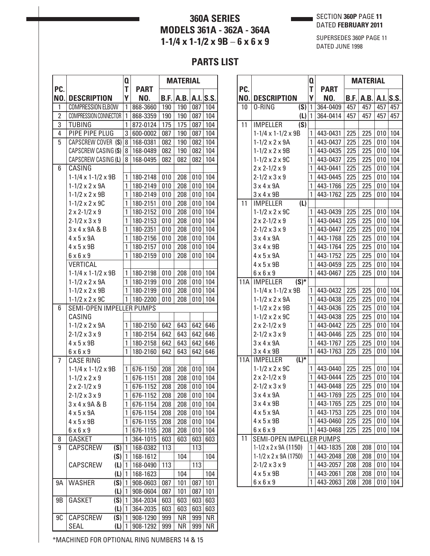# **360A SERIES MODELS 361A - 362A - 364A 1-1/4 x 1-1/2 x 9B** – **6 x 6 x 9**

## SECTION **360P** PAGE **11** DATED **FEBRUARY 2011**

SUPERSEDES 360P PAGE 11 DATED JUNE 1998

# **PARTS LIST**

| Q                                                                                       | <b>MATERIAL</b>                             |
|-----------------------------------------------------------------------------------------|---------------------------------------------|
| PC.<br>T<br><b>PART</b>                                                                 |                                             |
| NO.<br>Υ<br><b>DESCRIPTION</b><br>NO.<br>B.F.                                           | A.B.<br>A.I.S.S.                            |
| 1<br><b>COMPRESSION ELBOW</b><br>868-3660<br>190<br>1                                   | 190<br>087<br>104                           |
| $\overline{2}$<br>COMPRESSION CONNECTOR<br>190<br>1<br>868-3359                         | 190<br>104<br>087                           |
| 3<br><b>TUBING</b><br>1<br>872-0124<br>175                                              | 175<br>087<br>104                           |
| 4<br>PIPE PIPE PLUG<br>3<br>600-0002<br>087                                             | 190<br>104<br>087                           |
| 5<br>CAPSCREW COVER (S)<br>8<br>168-0381<br>082                                         | 104<br>190<br>082                           |
| CAPSCREW CASING (S)<br>8<br>168-0489<br>082                                             | 190<br>104<br>082                           |
| CAPSCREW CASING (L)<br>168-0495<br>8<br>082                                             | 104<br>082<br>082                           |
| CASING<br>6                                                                             |                                             |
| $1-1/4 \times 1-1/2 \times 9B$<br>010<br>1<br>180-2148                                  | 104<br>208<br>010                           |
| 1<br>$1 - 1/2 \times 2 \times 9$ A<br>180-2149<br>010                                   | 104<br>208<br>010                           |
| 1<br>$1 - 1/2 \times 2 \times 9B$<br>180-2149<br>010                                    | 208<br>010<br>104                           |
| $1 - 1/2 \times 2 \times 9C$<br>1<br>180-2151<br>010                                    | 208<br>010<br>104                           |
| 1<br>$2 \times 2 - 1/2 \times 9$<br>180-2152<br>010                                     | 104<br>208<br>010                           |
| $2 - 1/2 \times 3 \times 9$<br>1<br>180-2153<br>010                                     | 010<br>104<br>208                           |
| $3 \times 4 \times 9$ A & B<br>1<br>180-2351<br>010                                     | 208<br>104<br>010                           |
| $4 \times 5 \times 9$ A<br>1<br>180-2156<br>010                                         | 208<br>010<br>104                           |
| $4 \times 5 \times 9B$<br>1<br>180-2157<br>010                                          | 104<br>208<br>010                           |
| 1<br>180-2159<br>010<br>$6 \times 6 \times 9$                                           | 208<br>010<br>104                           |
| VERTICAL                                                                                |                                             |
| 010<br>$1-1/4 \times 1-1/2 \times 9B$<br>1<br>180-2198                                  | 104<br>208<br>010                           |
| $1 - 1/2 \times 2 \times 9$ A<br>1<br>180-2199<br>010                                   | 208<br>010<br>104                           |
| $1 - 1/2 \times 2 \times 9B$<br>1<br>180-2199<br>010                                    | 104<br>208<br>010                           |
| 1<br>$1 - 1/2 \times 2 \times 9C$<br>180-2200<br>010                                    | 208<br>010<br>104                           |
| SEMI-OPEN IMPELLER PUMPS<br>6                                                           |                                             |
| CASING                                                                                  |                                             |
| $1 - 1/2 \times 2 \times 9$ A<br>1<br>180-2150<br>642                                   | 643<br>642<br>646                           |
| $2 - 1/2 \times 3 \times 9$<br>1<br>180-2154<br>642                                     | 643<br>642<br>646                           |
| $4 \times 5 \times 9B$<br>1<br>180-2158<br>642                                          | 646<br>643<br>642                           |
| $6 \times 6 \times 9$<br>1<br>180-2160<br>642                                           | 643<br>642<br>646                           |
| 7<br><b>CASE RING</b>                                                                   |                                             |
| $1-1/4 \times 1-1/2 \times 9B$<br>676-1150<br>208<br>1                                  | 104<br>208<br>010                           |
| 1<br>676-1151<br>$1 - 1/2 \times 2 \times 9$<br>208                                     | 104<br>208<br>010                           |
| 1<br>676-1152<br>208<br>$2 \times 2 - 1/2 \times 9$                                     | 208<br>010<br>104                           |
| $2 - 1/2 \times 3 \times 9$<br>1<br>676-1152<br>208                                     | 010<br>104<br>208                           |
| $3 \times 4 \times 9$ A&B<br>1<br>676-1154<br>208                                       | 208<br>010<br>104                           |
| 1<br>$4 \times 5 \times 9$ A<br>676-1154<br>208                                         | 010<br>208<br>104                           |
| $4 \times 5 \times 9B$<br>1<br>676-1155<br>208                                          | 208<br>010<br>104                           |
| 1<br>$6 \times 6 \times 9$<br>676-1155<br>208                                           | 208<br>010<br>104                           |
| 1<br>8<br>GASKET<br>364-1015<br>603                                                     | 603<br>603<br>603                           |
| 9<br>(S)<br>CAPSCREW<br>1<br>168-0382<br>113                                            | 113                                         |
| (S)<br>1<br>168-1612                                                                    | 104<br>104                                  |
| CAPSCREW<br>(L)<br>113<br>1<br>168-0490                                                 | 113                                         |
| (L)<br>1<br>168-1623                                                                    | 104<br>104                                  |
| (S)<br><b>WASHER</b><br>9Α<br>1<br>908-0603<br>087                                      | 101<br>087<br>101                           |
| (L)<br>087<br>1<br>908-0604                                                             | 101<br>101<br>087                           |
| GASKET<br>(S)<br>9B<br>1<br>603<br>364-2034                                             |                                             |
|                                                                                         |                                             |
|                                                                                         | 603<br>603<br>603                           |
| (L)<br>1<br>603<br>364-2035<br>CAPSCREW<br>9C<br>(S)<br>$\mathbf{1}$<br>908-1290<br>999 | 603<br>603<br>603<br>ΝR<br><b>NR</b><br>999 |

| PC.        |                                                       | Q      |                    |             | <b>MATERIAL</b> |     |             |
|------------|-------------------------------------------------------|--------|--------------------|-------------|-----------------|-----|-------------|
| NO.        | <b>DESCRIPTION</b>                                    | T<br>Υ | <b>PART</b><br>NO. | <b>B.F.</b> | A.B.            |     | $A.I.$ S.S. |
| 10         | (S)<br>0-RING                                         | 1      | 364-0409           | 457         | 457             | 457 | 457         |
|            | (L)                                                   | 1      | 364-0414           | 457         | 457             | 457 | 457         |
| 11         | (S)<br><b>IMPELLER</b>                                |        |                    |             |                 |     |             |
|            | $1-1/4 \times 1-1/2 \times 9B$                        | 1      | 443-0431           | 225         | 225             | 010 | 104         |
|            | $1 - 1/2 \times 2 \times 9$ A                         | 1      | 443-0437           | 225         | 225             | 010 | 104         |
|            | $1 - 1/2 \times 2 \times 9B$                          | 1      | 443-0435           | 225         | 225             | 010 | 104         |
|            | $1 - 1/2 \times 2 \times 9C$                          | 1      | 443-0437           | 225         | 225             | 010 | 104         |
|            | $2 \times 2 - 1/2 \times 9$                           | 1      | 443-0441           | 225         | 225             | 010 | 104         |
|            | $2 - 1/2 \times 3 \times 9$                           | 1      | 443-0445           | 225         | 225             | 010 | 104         |
|            | $3 \times 4 \times 9$ A                               | 1      | 443-1766           | 225         | 225             | 010 | 104         |
|            | $3 \times 4 \times 9B$                                | 1      | 443-1762           | 225         | 225             | 010 | 104         |
| 11         | (L)<br><b>IMPELLER</b>                                |        |                    |             |                 |     |             |
|            | $1 - 1/2 \times 2 \times 9C$                          | 1      | 443-0439           | 225         | 225             | 010 | 104         |
|            | $2 \times 2 - 1/2 \times 9$                           | 1      | 443-0443           | 225         | 225             | 010 | 104         |
|            | $2 - 1/2 \times 3 \times 9$                           | 1      | 443-0447           | 225         | 225             | 010 | 104         |
|            | $3 \times 4 \times 9$ A                               | 1      | 443-1768           | 225         | 225             | 010 | 104         |
|            | $3 \times 4 \times 9B$                                | 1      | 443-1764           | 225         | 225             | 010 | 104         |
|            | $4 \times 5 \times 9$ A                               | 1      | 443-1752           | 225         | 225             | 010 | 104         |
|            | $4 \times 5 \times 9B$                                | 1      | 443-0459           | 225         | 225             | 010 | 104         |
|            | $6 \times 6 \times 9$                                 | 1      | 443-0467           | 225         | 225             | 010 | 104         |
| 11A        | $(S)^*$<br><b>IMPELLER</b>                            |        |                    |             |                 |     |             |
|            | $1 - 1/4 \times 1 - 1/2 \times 9B$                    | 1      | 443-0432           | 225         | 225             | 010 | 104         |
|            | $1 - 1/2 \times 2 \times 9$ A                         | 1      | 443-0438           | 225         | 225             | 010 | 104         |
|            | $1 - 1/2 \times 2 \times 9B$                          | 1      | 443-0436           | 225         | 225             | 010 | 104         |
|            | $1 - 1/2 \times 2 \times 9C$                          | 1      | 443-0438           | 225         | 225             | 010 | 104         |
|            | $2 \times 2 - 1/2 \times 9$                           | 1      | 443-0442           | 225         | 225             | 010 | 104         |
|            | $2 - 1/2 \times 3 \times 9$                           | 1      | 443-0446           | 225         | 225             | 010 | 104         |
|            | $3 \times 4 \times 9$ A                               | 1      | 443-1767           | 225         | 225             | 010 | 104         |
|            | 3x4x9B                                                | 1      | 443-1763           | 225         | 225             | 010 | 104         |
| <b>11A</b> | $\overline{(\mathsf{L})^*}$<br><b>IMPELLER</b>        |        |                    |             |                 |     |             |
|            | $1 - 1/2 \times 2 \times 9C$                          | 1      | 443-0440           | 225         | 225             | 010 | 104         |
|            | $2 \times 2 - 1/2 \times 9$                           | 1      | 443-0444           | 225         | 225             | 010 | 104         |
|            | $2 - 1/2 \times 3 \times 9$                           | 1      | 443-0448           | 225         | 225             | 010 | 104         |
|            | 3x4x9A                                                | 1      | 443-1769           | 225         | 225             | 010 | 104         |
|            | $3 \times 4 \times 9B$                                | 1      | 443-1765           | 225         | 225             | 010 | 104         |
|            | $4 \times 5 \times 9$ A                               | 1      | 443-1753           | 225         | 225             | 010 | 104         |
|            | $4 \times 5 \times 9B$                                | 1      | 443-0460           | 225         | 225             | 010 | 104         |
|            | $6 \times 6 \times 9$                                 | 1      | 443-0468           | 225         | 225             | 010 | 104         |
| 11         | SEMI-OPEN IMPELLER PUMPS                              |        |                    |             |                 |     |             |
|            | $1-1/2 \times 2 \times 9A (1150)$                     | 1      | 443-1835           | 208         | 208             | 010 | 104         |
|            | $1-1/2 \times 2 \times 9A (1750)$                     | 1      | 443-2048           | 208         | 208             | 010 | 104         |
|            | $2 - 1/2 \times 3 \times 9$<br>$4 \times 5 \times 9B$ | 1      | 443-2057           | 208         | 208             | 010 | 104         |
|            |                                                       | 1      | 443-2061           | 208         | 208             | 010 | 104         |
|            | $6 \times 6 \times 9$                                 | 1      | 443-2063           | 208         | 208             | 010 | 104         |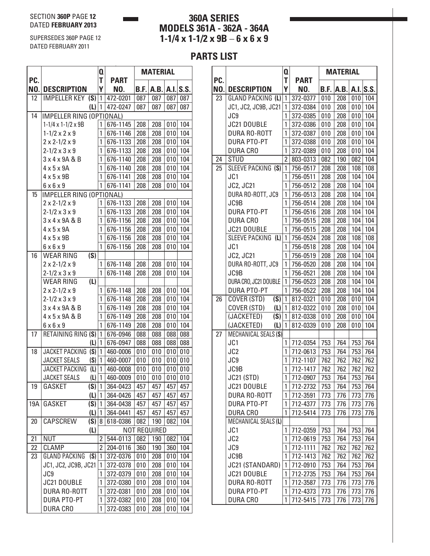#### SECTION **360P** PAGE **12** DATED **FEBRUARY 2013**

SUPERSEDES 360P PAGE 12 DATED FEBRUARY 2011

## **360A SERIES MODELS 361A - 362A - 364A 1-1/4 x 1-1/2 x 9B** – **6 x 6 x 9**

|            |                                 | Q                   |                      |            | <b>MATERIAL</b>     |            |            |
|------------|---------------------------------|---------------------|----------------------|------------|---------------------|------------|------------|
| PC.<br>NO. | <b>DESCRIPTION</b>              | T<br>Υ              | <b>PART</b><br>NO.   | B.F.       | A.B.                |            | A.I.S.S.   |
| 12         | IMPELLER KEY $(S)$ 1            |                     | 472-0201             | 087        | 087                 | 087        | 087        |
|            |                                 | $(L)$  1            | 472-0247             | 087        | 087                 | 087        | 087        |
| 14         | IMPELLER RING (OPTIONAL)        |                     |                      |            |                     |            |            |
|            | $1-1/4 \times 1-1/2 \times 9B$  | 1                   | 676-1145             | 208        | 208                 | 010        | 104        |
|            | $1 - 1/2 \times 2 \times 9$     | 1                   | 676-1146             | 208        | 208                 | 010        | 104        |
|            | $2 \times 2 - 1/2 \times 9$     | 1                   | 676-1133             | 208        | 208                 | 010        | 104        |
|            | $2 - 1/2 \times 3 \times 9$     | 1                   | 676-1133             | 208        | 208                 | 010        | 104        |
|            | 3 x 4 x 9A & B                  | 1                   | 676-1140             | 208        | 208                 | 010        | 104        |
|            | $4 \times 5 \times 9$ A         | 1                   | 676-1140             | 208        | 208                 | 010        | 104        |
|            | $4 \times 5 \times 9B$          | 1                   | 676-1141             | 208        | 208                 | 010        | 104        |
|            | $6 \times 6 \times 9$           | 1                   | 676-1141             | 208        | 208                 | 010        | 104        |
| 15         | <b>IMPELLER RING (OPTIONAL)</b> |                     |                      |            |                     |            |            |
|            | $2 \times 2 - 1/2 \times 9$     | 1                   | 676-1133             | 208        | 208                 | 010        | 104        |
|            | $2 - 1/2 \times 3 \times 9$     | 1                   | 676-1133             | 208        | 208                 | 010        | 104        |
|            | 3 x 4 x 9A & B                  | 1                   | 676-1156             | 208        | 208                 | 010        | 104        |
|            | $4 \times 5 \times 9$ A         | 1                   | 676-1156             | 208        | 208                 | 010        | 104        |
|            | $4 \times 5 \times 9B$          | 1                   | 676-1156             | 208        | 208                 | 010        | 104        |
|            | $6 \times 6 \times 9$           | 1                   | 676-1156             | 208        | 208                 | 010        | 104        |
| 16         | (S)<br><b>WEAR RING</b>         |                     |                      |            |                     |            |            |
|            | $2 \times 2 - 1/2 \times 9$     | 1                   | 676-1148             | 208        | 208                 | 010        | 104        |
|            | $2 - 1/2 \times 3 \times 9$     | 1                   | 676-1148             | 208        | 208                 | 010        | 104        |
|            | (L)<br>WEAR RING                |                     |                      |            |                     |            |            |
|            | $2 \times 2 - 1/2 \times 9$     | 1                   | 676-1148             | 208        | 208                 | 010        | 104        |
|            | $2 - 1/2 \times 3 \times 9$     | 1                   | 676-1148             | 208        | 208                 | 010        | 104        |
|            | 3 x 4 x 9A & B                  | 1                   | 676-1149             | 208        | 208                 | 010        | 104        |
|            | 4 x 5 x 9A & B                  | 1                   | 676-1149             | 208        | 208                 | 010        | 104        |
|            | $6 \times 6 \times 9$           | 1                   | 676-1149             | 208        | 208                 | 010        | 104        |
| 17         | RETAINING RING (S)              | 1                   | 676-0946             | 088        | 088                 | 088        | 088        |
|            |                                 | (L)<br>$\mathbf{1}$ | 676-0947             | 088        | 088                 | 088        | 088        |
| 18         | JACKET PACKING (S)              | 1                   | 460-0006             | 010        | 010                 | 010        | 010        |
|            | <b>JACKET SEALS</b>             | (S)<br>1            | 460-0007             | 010        | 010                 | 010        | 010        |
|            | JACKET PACKING                  | $\mathbf{1}$<br>(L) | 460-0008             | 010        | 010                 | 010        | 010        |
|            | <b>JACKET SEALS</b>             | (L)<br>1            | 460-0009             | 010        | 010                 | 010        | 010        |
| 19         | GASKET                          | $(S)$  1            | 364-0423             | 457        | 457                 | 457        | 457        |
|            |                                 | (L)<br>$\mathbf{1}$ | 364-0426             | 457        | 457                 | 457        | 457        |
| 19A        | GASKET                          | (S)<br>$\mathbf{1}$ | 364-0438             | 457        | 457                 | 457        | 457        |
|            |                                 | (L)<br>$\mathbf{1}$ | 364-0441             | 457        | 457                 | 457        | 457        |
| 20         | (S)<br>CAPSCREW                 | 8                   | 618-0386             | 082        | 190                 | 082        | 104        |
| 21         |                                 | (L)                 |                      |            | <b>NOT REQUIRED</b> |            |            |
|            | <b>NUT</b>                      | 2<br>$\overline{2}$ | 544-0113             | 082        | 190                 | 082        | 104        |
| 22<br>23   | CLAMP<br>GLAND PACKING (S)      | 1                   | 204-0116<br>372-0376 | 360<br>010 | 190<br>208          | 360<br>010 | 104<br>104 |
|            | JC1, JC2, JC9B, JC21            | 1                   | 372-0378             | 010        | 208                 | 010        | 104        |
|            |                                 | 1                   |                      |            |                     |            | 104        |
|            | JC9<br>JC21 DOUBLE              | 1                   | 372-0379<br>372-0380 | 010<br>010 | 208<br>208          | 010<br>010 | 104        |
|            | DURA RO-ROTT                    | 1                   | 372-0381             | 010        | 208                 | 010        | 104        |
|            | <b>DURA PTO-PT</b>              | 1                   | 372-0382             | 010        | 208                 | 010        | 104        |
|            | <b>DURA CRO</b>                 | 1                   | 372-0383             | 010        | 208                 | 010        | 104        |
|            |                                 |                     |                      |            |                     |            |            |

|     |                       | Q              |             |      | <b>MATERIAL</b> |     |           |
|-----|-----------------------|----------------|-------------|------|-----------------|-----|-----------|
| PC. |                       | T              | <b>PART</b> |      |                 |     |           |
| NO. | <b>DESCRIPTION</b>    | Υ              | NO.         | B.F. | A.B.            |     | A.I. S.S. |
| 23  | GLAND PACKING (L)     | 1              | 372-0377    | 010  | 208             | 010 | 104       |
|     | JC1, JC2, JC9B, JC21  | 1              | 372-0384    | 010  | 208             | 010 | 104       |
|     | JC9                   | 1              | 372-0385    | 010  | 208             | 010 | 104       |
|     | JC21 DOUBLE           | 1              | 372-0386    | 010  | 208             | 010 | 104       |
|     | <b>DURA RO-ROTT</b>   | 1              | 372-0387    | 010  | 208             | 010 | 104       |
|     | <b>DURA PTO-PT</b>    | 1              | 372-0388    | 010  | 208             | 010 | 104       |
|     | <b>DURA CRO</b>       | 1              | 372-0389    | 010  | 208             | 010 | 104       |
| 24  | <b>STUD</b>           | $\overline{2}$ | 803-0313    | 082  | 190             | 082 | 104       |
| 25  | SLEEVE PACKING (S)    | 1              | 756-0517    | 208  | 208             | 108 | 108       |
|     | JC1                   | 1              | 756-0511    | 208  | 208             | 104 | 104       |
|     | JC2, JC21             | 1              | 756-0512    | 208  | 208             | 104 | 104       |
|     | DURA RO-ROTT, JC9     | 1              | 756-0513    | 208  | 208             | 104 | 104       |
|     | JC9B                  | 1              | 756-0514    | 208  | 208             | 104 | 104       |
|     | <b>DURA PTO-PT</b>    | 1              | 756-0516    | 208  | 208             | 104 | 104       |
|     | DURA CRO              | 1              | 756-0515    | 208  | 208             | 104 | 104       |
|     | JC21 DOUBLE           | 1              | 756-0515    | 208  | 208             | 104 | 104       |
|     | SLEEVE PACKING (L)    | 1              | 756-0524    | 208  | 208             | 108 | 108       |
|     | JC1                   | 1              | 756-0518    | 208  | 208             | 104 | 104       |
|     | <b>JC2, JC21</b>      | 1              | 756-0519    | 208  | 208             | 104 | 104       |
|     | DURA RO-ROTT, JC9     | 1              | 756-0520    | 208  | 208             | 104 | 104       |
|     | JC9B                  | 1              | 756-0521    | 208  | 208             | 104 | 104       |
|     | DURA CRO, JC21 DOUBLE | 1              | 756-0523    | 208  | 208             | 104 | 104       |
|     | <b>DURA PTO-PT</b>    | 1              | 756-0522    | 208  | 208             | 104 | 104       |
| 26  | (S)<br>COVER (STD)    | 1              | 812-0321    | 010  | 208             | 010 | 104       |
|     | COVER (STD)<br>(L)    | 1              | 812-0322    | 010  | 208             | 010 | 104       |
|     | (JACKETED)<br>(S)     | 1              | 812-0338    | 010  | 208             | 010 | 104       |
|     | (JACKETED)<br>(L)     | 1              | 812-0339    | 010  | 208             | 010 | 104       |
| 27  | MECHANICAL SEALS (S)  |                |             |      |                 |     |           |
|     | JC1                   | 1              | 712-0354    | 753  | 764             | 753 | 764       |
|     | JC2                   | 1              | 712-0613    | 753  | 764             | 753 | 764       |
|     | JC9                   | 1              | 712-1107    | 762  | 762             | 762 | 762       |
|     | JC9B                  | 1              | 712-1417    | 762  | 762             | 762 | 762       |
|     | <b>JC21 (STD)</b>     | 1              | 712-0907    | 753  | 764             | 753 | 764       |
|     | JC21 DOUBLE           | 1              | 712-2732    | 753  | 764             | 753 | 764       |
|     | DURA RO-ROTT          | 1              | 712-3591    | 773  | 776             | 773 | 776       |
|     | <b>DURA PTO-PT</b>    | 1              | 712-4377    | 773  | 776             | 773 | 776       |
|     | <b>DURA CRO</b>       | 1              | 712-5414    | 773  | 776             | 773 | 776       |
|     | MECHANICAL SEALS (L)  |                |             |      |                 |     |           |
|     | JC1                   | 1              | 712-0359    | 753  | 764             | 753 | 764       |
|     | JC <sub>2</sub>       | 1              | 712-0619    | 753  | 764             | 753 | 764       |
|     | JC9                   | 1              | 712-1111    | 762  | 762             | 762 | 762       |
|     | JC9B                  | 1              | 712-1413    | 762  | 762             | 762 | 762       |
|     | JC21 (STANDARD)       | 1              | 712-0910    | 753  | 764             | 753 | 764       |
|     | JC21 DOUBLE           | 1              | 712-2735    | 753  | 764             | 753 | 764       |
|     | DURA RO-ROTT          | 1              | 712-3587    | 773  | 776             | 773 | 776       |
|     | <b>DURA PTO-PT</b>    | 1              | 712-4373    | 773  | 776             | 773 | 776       |
|     | <b>DURA CRO</b>       | 1              | 712-5415    | 773  | 776             | 773 | 776       |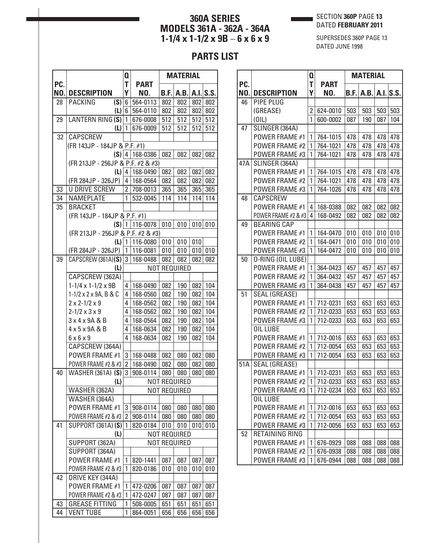#### SECTION **360P** PAGE **13** DATED **FEBRUARY 2011**

## **360A SERIES MODELS 361A - 362A - 364A 1-1/4 x 1-1/2 x 9B** – **6 x 6 x 9**

SUPERSEDES 360P PAGE 13 DATED JUNE 1998

|            |                                          | Q                   |                      |      | <b>MATERIAL</b>     |     |           |
|------------|------------------------------------------|---------------------|----------------------|------|---------------------|-----|-----------|
| PC.<br>NO. | <b>DESCRIPTION</b>                       | T<br>Υ              | <b>PART</b><br>NO.   | B.F. | A.B.                |     | A.I.S.S.  |
| 28         | (S)<br><b>PACKING</b>                    | $6\phantom{1}6$     | 564-0113             | 802  | 802                 | 802 | 802       |
|            | $(L)$ 6                                  |                     | 564-0110             | 802  | 802                 | 802 | 802       |
| 29         | LANTERN RING (S)                         | $\overline{1}$      | 676-0008             | 512  | 512                 | 512 | 512       |
|            | (L)                                      | 1                   | 676-0009             | 512  | 512                 | 512 | 512       |
| 32         | <b>CAPSCREW</b>                          |                     |                      |      |                     |     |           |
|            | (FR 143JP - 184JP & P.F. #1)             |                     |                      |      |                     |     |           |
|            | $(S)$ 4                                  |                     | 168-0386             | 082  | 082                 | 082 | 082       |
|            | (FR 213JP - 256JP & P.F. #2 & #3)        |                     |                      |      |                     |     |           |
|            |                                          |                     | $(L)$   4   168-0490 | 082  | 082                 |     | $082$ 082 |
|            | (FR 284JP - 326JP)                       | 4                   | 168-0564             | 082  | 082                 | 082 | 082       |
| 33         | <b>U DRIVE SCREW</b>                     | $\overline{2}$      | 708-0013             | 365  | 365                 | 365 | 365       |
| 34         | NAMEPLATE                                | 1                   | 532-0045             | 114  | 114                 | 114 | 114       |
| 35         | <b>BRACKET</b>                           |                     |                      |      |                     |     |           |
|            | (FR 143JP - 184JP & P.F. #1)             |                     |                      |      |                     |     |           |
|            |                                          |                     | $(S)$   1   116-0078 | 010  | 010                 | 010 | 010       |
|            | (FR 213JP - 256JP & P.F. #2 & #3)        |                     |                      |      |                     |     |           |
|            | $(L)$   1                                |                     | 116-0080             | 010  | 010                 | 010 |           |
|            | (FR 284JP - 326JP)                       | 1                   | 116-0081             | 010  | 010                 | 010 | 010       |
| 39         | CAPSCREW (361A)(S)                       | 3                   | 168-0488             | 082  | 082                 | 082 | 082       |
|            | (L)                                      |                     |                      |      | <b>NOT REQUIRED</b> |     |           |
|            | CAPSCREW (362A)                          |                     |                      |      |                     |     |           |
|            | $1-1/4 \times 1-1/2 \times 9B$           | 4                   | 168-0490             | 082  | 190                 | 082 | 104       |
|            | 1-1/2 x 2 x 9A, B & C                    | 4                   | 168-0560             | 082  | 190                 | 082 | 104       |
|            | $2 \times 2 - 1/2 \times 9$              | 4                   | 168-0562             | 082  | 190                 | 082 | 104       |
|            | $2 - 1/2 \times 3 \times 9$              | 4                   | 168-0562             | 082  | 190                 | 082 | 104       |
|            | 3 x 4 x 9A & B                           | 4                   | 168-0564             | 082  | 190                 | 082 | 104       |
|            | 4 x 5 x 9A & B                           | 4<br>4              | 168-0634             | 082  | 190                 | 082 | 104       |
|            | $6 \times 6 \times 9$<br>CAPSCREW (364A) |                     | 168-0634             | 082  | 190                 | 082 | 104       |
|            | POWER FRAME #1                           | 3                   | 168-0488             | 082  | 080                 | 082 | 080       |
|            | POWER FRAME #2 & #3                      | $\overline{2}$      | 168-0490             | 082  | 080                 | 082 | 080       |
| 40         | <b>WASHER (361A) (S)</b>                 | 3                   | 908-0114             | 080  | 080                 | 080 | 080       |
|            | (L)                                      |                     |                      |      | <b>NOT REQUIRED</b> |     |           |
|            | WASHER (362A)                            |                     |                      |      | NOT REQUIRED        |     |           |
|            | WASHER (364A)                            |                     |                      |      |                     |     |           |
|            | POWER FRAME #1                           | 3                   | 908-0114             | 080  | 080                 | 080 | 080       |
|            | POWER FRAME #2 & #3                      | $\overline{2}$      | 908-0114             | 080  | 080                 | 080 | 080       |
| 41         | <b>SUPPORT (361A) (S)</b>                | 1                   | 820-0184             | 010  | 010                 | 010 | 010       |
|            | (L)                                      |                     |                      |      | <b>NOT REQUIRED</b> |     |           |
|            | SUPPORT (362A)                           | <b>NOT REQUIRED</b> |                      |      |                     |     |           |
|            | SUPPORT (364A)                           |                     |                      |      |                     |     |           |
|            | POWER FRAME #1                           | 1                   | 820-1441             | 087  | 087                 | 087 | 087       |
|            | POWER FRAME #2 & #3                      | 1                   | 820-0186             | 010  | 010                 | 010 | 010       |
| 42         | DRIVE KEY (344A)                         |                     |                      |      |                     |     |           |
|            | POWER FRAME #1                           | 1                   | 472-0206             | 087  | 087                 | 087 | 087       |
|            | POWER FRAME #2 & #3                      | 1                   | 472-0247             | 087  | 087                 | 087 | 087       |
| 43         | <b>GREASE FITTING</b>                    | 1                   | 508-0005             | 651  | 651                 | 651 | 651       |
| 44         | <b>VENT TUBE</b>                         | 1                   | 864-0051             | 656  | 656                 | 656 | 656       |

|            |                                 | Q              |             | <b>MATERIAL</b> |      |     |             |
|------------|---------------------------------|----------------|-------------|-----------------|------|-----|-------------|
| PC.<br>NO. |                                 | Т<br>Υ         | <b>PART</b> |                 |      |     |             |
| 46         | <b>DESCRIPTION</b><br>PIPE PLUG |                | NO.         | B.F.            | A.B. |     | $A.I.$ S.S. |
|            | (GREASE)                        | $\overline{2}$ | 624-0010    | 503             | 503  | 503 | 503         |
|            | (0 L)                           | $\mathbf{1}$   | 600-0002    | 087             | 190  | 087 | 104         |
| 47         | SLINGER (364A)                  |                |             |                 |      |     |             |
|            | POWER FRAME #1                  | 1              | 764-1015    | 478             | 478  | 478 | 478         |
|            | POWER FRAME #2                  | 1              | 764-1021    | 478             | 478  | 478 | 478         |
|            | POWER FRAME #3                  | 1              | 764-1021    | 478             | 478  | 478 | 478         |
| 47A        | SLINGER (364A)                  |                |             |                 |      |     |             |
|            | POWER FRAME #1                  | 1              | 764-1015    | 478             | 478  | 478 | 478         |
|            | POWER FRAME #2                  | 1              | 764-1021    | 478             | 478  | 478 | 478         |
|            | POWER FRAME #3                  | 1              | 764-1026    | 478             | 478  | 478 | 478         |
| 48         | CAPSCREW                        |                |             |                 |      |     |             |
|            | POWER FRAME #1                  | 4              | 168-0388    | 082             | 082  | 082 | 082         |
|            | POWER FRAME #2 & #3             | 4              | 168-0492    | 082             | 082  | 082 | 082         |
| 49         | <b>BEARING CAP</b>              |                |             |                 |      |     |             |
|            | POWER FRAME #1                  | 1              | 164-0470    | 010             | 010  | 010 | 010         |
|            | POWER FRAME #2                  | 1              | 164-0471    | 010             | 010  | 010 | 010         |
|            | POWER FRAME #3                  | 1              | 164-0472    | 010             | 010  | 010 | 010         |
| 50         | 0-RING (OIL LUBE)               |                |             |                 |      |     |             |
|            | POWER FRAME #1                  | 1              | 364-0423    | 457             | 457  | 457 | 457         |
|            | POWER FRAME #2                  | 1              | 364-0432    | 457             | 457  | 457 | 457         |
|            | POWER FRAME #3                  | 1              | 364-0438    | 457             | 457  | 457 | 457         |
| 51         | <b>SEAL (GREASE)</b>            |                |             |                 |      |     |             |
|            | POWER FRAME #1                  | 1              | 712-0231    | 653             | 653  | 653 | 653         |
|            | POWER FRAME #2                  | 1              | 712-0233    | 653             | 653  | 653 | 653         |
|            | <b>POWER FRAME #3</b>           | 1              | 712-0233    | 653             | 653  | 653 | 653         |
|            | OIL LUBE                        |                |             |                 |      |     |             |
|            | <b>POWER FRAME #1</b>           | 1              | 712-0016    | 653             | 653  | 653 | 653         |
|            | POWER FRAME #2                  | 1              | 712-0054    | 653             | 653  | 653 | 653         |
|            | POWER FRAME #3                  | 1              | 712-0054    | 653             | 653  | 653 | 653         |
| 51A        | <b>SEAL (GREASE)</b>            |                |             |                 |      |     |             |
|            | POWER FRAME #1                  | 1              | 712-0231    | 653             | 653  | 653 | 653         |
|            | POWER FRAME #2                  | 1              | 712-0233    | 653             | 653  | 653 | 653         |
|            | POWER FRAME #3                  | 1              | 712-0234    | 653             | 653  | 653 | 653         |
|            | OIL LUBE                        |                |             |                 |      |     |             |
|            | POWER FRAME #1                  | 1              | 712-0016    | 653             | 653  | 653 | 653         |
|            | <b>POWER FRAME #2</b>           | 1              | 712-0054    | 653             | 653  | 653 | 653         |
|            | POWER FRAME #3                  | 1              | 712-0056    | 653             | 653  | 653 | 653         |
| 52         | RETAINING RING                  |                |             |                 |      |     |             |
|            | <b>POWER FRAME #1</b>           | 1              | 676-0929    | 088             | 088  | 088 | 088         |
|            | <b>POWER FRAME #2</b>           | 1              | 676-0938    | 088             | 088  | 088 | 088         |
|            | POWER FRAME #3                  | 1              | 676-0944    | 088             | 088  | 088 | 088         |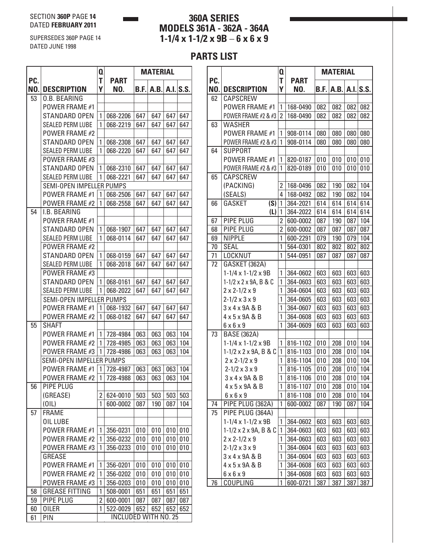SUPERSEDES 360P PAGE 14

DATED JUNE 1998

## **360A SERIES MODELS 361A - 362A - 364A 1-1/4 x 1-1/2 x 9B** – **6 x 6 x 9**

|     |                          | Q              |                             | <b>MATERIAL</b> |      |     |          |
|-----|--------------------------|----------------|-----------------------------|-----------------|------|-----|----------|
| PC. |                          | T              | <b>PART</b>                 |                 |      |     |          |
| NO. | <b>DESCRIPTION</b>       | Υ              | NO.                         | B.F.            | A.B. |     | A.I.S.S. |
| 53  | <b>0.B. BEARING</b>      |                |                             |                 |      |     |          |
|     | <b>POWER FRAME #1</b>    |                |                             |                 |      |     |          |
|     | STANDARD OPEN            | 1              | 068-2206                    | 647             | 647  | 647 | 647      |
|     | SEALED PERM LUBE         | 1              | 068-2219                    | 647             | 647  | 647 | 647      |
|     | POWER FRAME #2           |                |                             |                 |      |     |          |
|     | STANDARD OPEN            | 1              | 068-2308                    | 647             | 647  | 647 | 647      |
|     | <b>SEALED PERM LUBE</b>  | 1              | 068-2220                    | 647             | 647  | 647 | 647      |
|     | POWER FRAME #3           |                |                             |                 |      |     |          |
|     | <b>STANDARD OPEN</b>     | 1              | 068-2310                    | 647             | 647  | 647 | 647      |
|     | <b>SEALED PERM LUBE</b>  | 1              | 068-2221                    | 647             | 647  | 647 | 647      |
|     | SEMI-OPEN IMPELLER PUMPS |                |                             |                 |      |     |          |
|     | <b>POWER FRAME #1</b>    | 1              | 068-2506                    | 647             | 647  | 647 | 647      |
|     | <b>POWER FRAME #2</b>    | 1              | 068-2558                    | 647             | 647  | 647 | 647      |
| 54  | I.B. BEARING             |                |                             |                 |      |     |          |
|     | POWER FRAME #1           |                |                             |                 |      |     |          |
|     | STANDARD OPEN            | 1              | 068-1907                    | 647             | 647  | 647 | 647      |
|     | <b>SEALED PERM LUBE</b>  | 1              | 068-0114                    | 647             | 647  | 647 | 647      |
|     | <b>POWER FRAME #2</b>    |                |                             |                 |      |     |          |
|     | STANDARD OPEN            | 1              | 068-0159                    | 647             | 647  | 647 | 647      |
|     | <b>SEALED PERM LUBE</b>  | 1              | 068-2018                    | 647             | 647  | 647 | 647      |
|     | POWER FRAME #3           |                |                             |                 |      |     |          |
|     | STANDARD OPEN            | 1              | 068-0161                    | 647             | 647  | 647 | 647      |
|     | <b>SEALED PERM LUBE</b>  | 1              | 068-2022                    | 647             | 647  | 647 | 647      |
|     | SEMI-OPEN IMPELLER PUMPS |                |                             |                 |      |     |          |
|     | <b>POWER FRAME #1</b>    | 1              | 068-1932                    | 647             | 647  | 647 | 647      |
|     | <b>POWER FRAME #2</b>    | 1              | 068-0182                    | 647             | 647  | 647 | 647      |
| 55  | SHAFT                    |                |                             |                 |      |     |          |
|     | <b>POWER FRAME #1</b>    | 1              | 728-4984                    | 063             | 063  | 063 | 104      |
|     | <b>POWER FRAME #2</b>    | 1              | 728-4985                    | 063             | 063  | 063 | 104      |
|     | POWER FRAME #3           | 1              | 728-4986                    | 063             | 063  | 063 | 104      |
|     | SEMI-OPEN IMPELLER PUMPS |                |                             |                 |      |     |          |
|     | <b>POWER FRAME #1</b>    | 1              | 728-4987                    | 063             | 063  | 063 | 104      |
|     | <b>POWER FRAME #2</b>    | 1              | 728-4988                    | 063             | 063  | 063 | 104      |
| 56  | PIPE PLUG                |                |                             |                 |      |     |          |
|     | (GREASE)                 | 2              | 624-0010                    | 503             | 503  | 503 | 503      |
|     | (OIL)                    | 1              | 600-0002                    | 087             | 190  | 087 | 104      |
| 57  | <b>FRAME</b>             |                |                             |                 |      |     |          |
|     | OIL LUBE                 |                |                             |                 |      |     |          |
|     | POWER FRAME #1           | 1              | 356-0231                    | 010             | 010  | 010 | 010      |
|     | <b>POWER FRAME #2</b>    | 1              | 356-0232                    | 010             | 010  | 010 | 010      |
|     | POWER FRAME #3           | 1              | 356-0233                    | 010             | 010  | 010 | 010      |
|     | <b>GREASE</b>            |                |                             |                 |      |     |          |
|     | <b>POWER FRAME #1</b>    | 1              | 356-0201                    | 010             | 010  | 010 | 010      |
|     | <b>POWER FRAME #2</b>    | 1              | 356-0202                    | 010             | 010  | 010 | 010      |
|     | <b>POWER FRAME #3</b>    | 1              | 356-0203                    | 010             | 010  | 010 | 010      |
| 58  | <b>GREASE FITTING</b>    | 1              | 508-0001                    | 651             | 651  | 651 | 651      |
| 59  | PIPE PLUG                | $\overline{2}$ | 600-0001                    | 087             | 087  | 087 | 087      |
| 60  | <b>OILER</b>             | 1              | 522-0029                    | 652             | 652  | 652 | 652      |
| 61  | PIN                      |                | <b>INCLUDED WITH NO. 25</b> |                 |      |     |          |

|            |                                                                     | Q              |                      | <b>MATERIAL</b> |            |            |            |
|------------|---------------------------------------------------------------------|----------------|----------------------|-----------------|------------|------------|------------|
| PC.<br>NO. | <b>DESCRIPTION</b>                                                  | T<br>Υ         | <b>PART</b><br>NO.   | B.F.            | A.B.       |            | A.I.S.S.   |
| 62         | CAPSCREW                                                            |                |                      |                 |            |            |            |
|            | POWER FRAME #1                                                      | 1              | 168-0490             | 082             | 082        | 082        | 082        |
|            | POWER FRAME #2 & #3                                                 | $\overline{2}$ | 168-0490             | 082             | 082        | 082        | 082        |
| 63         | <b>WASHER</b>                                                       |                |                      |                 |            |            |            |
|            | POWER FRAME #1                                                      | 1              | 908-0114             | 080             | 080        | 080        | 080        |
|            | POWER FRAME #2 & #3                                                 | 1              | 908-0114             | 080             | 080        | 080        | 080        |
| 64         | <b>SUPPORT</b>                                                      |                |                      |                 |            |            |            |
|            | POWER FRAME #1                                                      | 1              | 820-0187             | 010             | 010        | 010        | 010        |
|            | POWER FRAME #2 & #3                                                 | 1              | 820-0189             | 010             | 010        | 010        | 010        |
| 65         | CAPSCREW                                                            |                |                      |                 |            |            |            |
|            | (PACKING)                                                           | $\overline{2}$ | 168-0496             | 082             | 190        | 082        | 104        |
|            | (SEALS)                                                             | 4              | 168-0492             | 082             | 190        | 082        | 104        |
| 66         | (S)<br>GASKET                                                       | $\mathbf{1}$   | 364-2021             | 614             | 614        | 614        | 614        |
|            | (L)                                                                 | 1              | 364-2022             | 614             | 614        | 614        | 614        |
| 67         | PIPE PLUG                                                           | $\overline{2}$ | 600-0002             | 087             | 190        | 087        | 104        |
| 68         | PIPE PLUG                                                           | $\overline{2}$ | 600-0002             | 087             | 087        | 087        | 087        |
| 69         | <b>NIPPLE</b>                                                       | 1              | 600-2291             | 079             | 190        | 079        | 104        |
| 70         | <b>SEAL</b>                                                         | 1              | 564-0301             | 802             | 802        | 802        | 802        |
| 71         | LOCKNUT                                                             | 1              | 544-0951             | 087             | 087        | 087        | 087        |
| 72         | GASKET (362A)                                                       |                |                      |                 |            |            |            |
|            | $1-1/4 \times 1-1/2 \times 9B$                                      | 1<br>1         | 364-0602             | 603             | 603        | 603        | 603        |
|            | $1 - 1/2 \times 2 \times 9$ A, B & C<br>$2 \times 2 - 1/2 \times 9$ | 1              | 364-0603<br>364-0604 | 603<br>603      | 603<br>603 | 603<br>603 | 603<br>603 |
|            | $2 - 1/2 \times 3 \times 9$                                         | 1              | 364-0605             | 603             | 603        | 603        | 603        |
|            | 3 x 4 x 9A & B                                                      | 1              | 364-0607             | 603             | 603        | 603        | 603        |
|            | 4 x 5 x 9A & B                                                      | 1              | 364-0608             | 603             | 603        | 603        | 603        |
|            | $6 \times 6 \times 9$                                               | 1              | 364-0609             | 603             | 603        | 603        | 603        |
| 73         | <b>BASE (362A)</b>                                                  |                |                      |                 |            |            |            |
|            | $1-1/4 \times 1-1/2 \times 9B$                                      | 1              | 816-1102             | 010             | 208        | 010        | 104        |
|            | $1 - 1/2 \times 2 \times 9$ A, B & C                                | 1              | 816-1103             | 010             | 208        | 010        | 104        |
|            | $2 \times 2 - 1/2 \times 9$                                         | 1              | 816-1104             | 010             | 208        | 010        | 104        |
|            | $2 - 1/2 \times 3 \times 9$                                         | $\mathbf{1}$   | 816-1105             | 010             | 208        | 010        | 104        |
|            | 3 x 4 x 9A & B                                                      | 1              | 816-1106             | 010             | 208        | 010        | 104        |
|            | 4 x 5 x 9A & B                                                      | 1              | 816-1107             | 010             | 208        | 010        | 104        |
|            | $6 \times 6 \times 9$                                               | 1              | 816-1108             | 010             | 208        | 010        | 104        |
| 74         | PIPE PLUG (362A)                                                    | 1              | 600-0002             | 087             | 190        | 087        | 104        |
| 75         | PIPE PLUG (364A)                                                    |                |                      |                 |            |            |            |
|            | $1-1/4 \times 1-1/2 \times 9B$                                      | 1              | 364-0602             | 603             | 603        | 603        | 603        |
|            | $1 - 1/2 \times 2 \times 9$ A, B & C                                | 1              | 364-0603             | 603             | 603        | 603        | 603        |
|            | $2 \times 2 - 1/2 \times 9$                                         | 1              | 364-0603             | 603             | 603        | 603        | 603        |
|            | $2 - 1/2 \times 3 \times 9$                                         | 1              | 364-0604             | 603             | 603        | 603        | 603        |
|            | $3 \times 4 \times 9$ A & B                                         | 1              | 364-0604             | 603             | 603        | 603        | 603        |
|            | 4 x 5 x 9A & B                                                      | 1              | 364-0608             | 603             | 603        | 603        | 603        |
|            | $6 \times 6 \times 9$                                               | 1              | 364-0608             | 603             | 603        | 603        | 603        |
| 76         | <b>COUPLING</b>                                                     | 1              | 600-0721             | <u>387</u>      | <u>387</u> | 387        | <u>387</u> |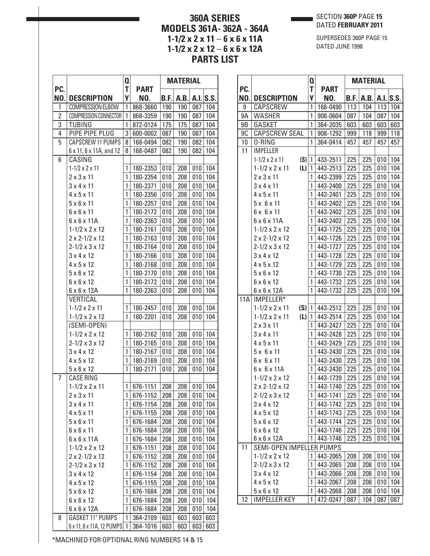SECTION **360P** PAGE **15** DATED **FEBRUARY 2011**

# **360A SERIES MODELS 361A- 362A - 364A 1-1/2 x 2 x 11** – **6 x 6 x 11A 1-1/2 x 2 x 12** – **6 x 6 x 12A PARTS LIST**

SUPERSEDES 360P PAGE 15 DATED JUNE 1998

|                |                                                                                                         | $\mathbf 0$      |                                              | <b>MATERIAL</b>          |                          |                          |                          |
|----------------|---------------------------------------------------------------------------------------------------------|------------------|----------------------------------------------|--------------------------|--------------------------|--------------------------|--------------------------|
| PC.            |                                                                                                         | T                | <b>PART</b>                                  |                          |                          |                          |                          |
| NO.            | <b>DESCRIPTION</b>                                                                                      | Υ                | NO.                                          | B.F.                     | A.B.                     |                          | A.I. S.S.                |
| 1              | <b>COMPRESSION ELBOW</b>                                                                                | 1                | 868-3660                                     | 190                      | 190                      | 087                      | 104                      |
| $\overline{2}$ | <b>COMPRESSION CONNECTOR</b>                                                                            | 1                | 868-3359                                     | 190                      | 190                      | 087                      | 104                      |
| $\overline{3}$ | <b>TUBING</b>                                                                                           | 1                | 872-0124                                     | 175                      | 175                      | 087                      | 104                      |
| 4              | PIPE PIPE PLUG                                                                                          | 3                | 600-0002                                     | 087                      | 190                      | 087                      | 104                      |
| 5              | <b>CAPSCREW 11 PUMPS</b>                                                                                | 8                | 168-0494                                     | 082                      | 190                      | 082                      | 104                      |
|                | 6 x 11, 6 x 11A, and 12                                                                                 | 8                | 168-0487                                     | 082                      | 190                      | 082                      | 104                      |
| 6              | CASING                                                                                                  |                  |                                              |                          |                          |                          |                          |
|                | $1 - 1/2 \times 2 \times 11$                                                                            | 1                | 180-2353                                     | 010                      | 208                      | 010                      | 104                      |
|                | $2 \times 3 \times 11$                                                                                  | 1                | 180-2354                                     | 010                      | 208                      | 010                      | 104                      |
|                | $3 \times 4 \times 11$                                                                                  | 1                | 180-2371                                     | 010                      | 208                      | 010                      | 104                      |
|                | $4 \times 5 \times 11$                                                                                  | 1                | 180-2356                                     | 010                      | 208                      | 010                      | 104                      |
|                | $5 \times 6 \times 11$                                                                                  | 1                | 180-2357                                     | 010                      | 208                      | 010                      | 104                      |
|                | $6 \times 6 \times 11$                                                                                  | 1                | 180-2172                                     | 010                      | 208                      | 010                      | 104                      |
|                | $6 \times 6 \times 11$ A                                                                                | 1                | 180-2363                                     | 010                      | 208                      | 010                      | 104                      |
|                | $1 - 1/2 \times 2 \times 12$                                                                            | 1                | 180-2161                                     | 010                      | 208                      | 010                      | 104                      |
|                | $2 \times 2 - 1/2 \times 12$                                                                            | 1                | 180-2163                                     | 010                      | 208                      | 010                      | 104                      |
|                | $2 - 1/2 \times 3 \times 12$                                                                            | 1                | 180-2164                                     | 010                      | 208                      | 010                      | 104                      |
|                | $3 \times 4 \times 12$                                                                                  | 1                | 180-2166                                     | 010                      | 208                      | 010                      | 104                      |
|                | $4 \times 5 \times 12$                                                                                  | 1                | 180-2168                                     | 010                      | 208                      | 010                      | 104                      |
|                | $5 \times 6 \times 12$                                                                                  | 1                | 180-2170                                     | 010                      | 208                      | 010                      | 104                      |
|                | $6 \times 6 \times 12$                                                                                  | 1                | 180-2172                                     | 010                      | 208                      | 010                      | 104                      |
|                | $6 \times 6 \times 12$ A                                                                                | 1                | 180-2363                                     | 010                      | 208                      | 010                      | 104                      |
|                | VERTICAL                                                                                                |                  |                                              |                          |                          |                          |                          |
|                | $1 - 1/2 \times 2 \times 11$                                                                            | 1                | 180-2457                                     | 010                      | 208                      | 010                      | 104                      |
|                | $1 - 1/2 \times 2 \times 12$                                                                            | $\mathbf{1}$     | 180-2201                                     | 010                      | 208                      | 010                      | 104                      |
|                | (SEMI-OPEN)                                                                                             |                  |                                              |                          |                          |                          |                          |
|                | $1 - 1/2 \times 2 \times 12$                                                                            | $\mathbf{1}$     | 180-2162                                     | 010                      | 208                      | 010                      | 104                      |
|                | $2 - 1/2 \times 3 \times 12$                                                                            | 1                | 180-2165                                     | 010                      | 208                      | 010                      | 104                      |
|                | $3 \times 4 \times 12$                                                                                  | 1                | 180-2167                                     | 010                      | 208                      | 010                      | 104                      |
|                | $4 \times 5 \times 12$                                                                                  | 1                | 180-2169                                     | 010                      | 208                      | 010                      | 104                      |
|                | $5 \times 6 \times 12$                                                                                  | 1                | 180-2171                                     | 010                      | 208                      | 010                      | 104                      |
| 7              | <b>CASE RING</b>                                                                                        |                  |                                              |                          |                          |                          |                          |
|                | $1 - 1/2 \times 2 \times 11$                                                                            |                  | $1 676-1151$                                 | 208                      | 208                      | 010                      | 104                      |
|                | $2 \times 3 \times 11$                                                                                  | 1                | 676-1152                                     | 208                      | 208                      | 010                      | 104                      |
|                | $3 \times 4 \times 11$                                                                                  | 1                | 676-1154                                     | 208                      | 208                      | 010                      | 104                      |
|                | $4 \times 5 \times 11$                                                                                  | 1                | 676-1155                                     | 208                      | 208                      | 010                      | 104                      |
|                | $5 \times 6 \times 11$                                                                                  | 1                | 676-1684                                     | 208                      | 208                      | 010                      | 104                      |
|                | $6 \times 6 \times 11$                                                                                  | 1                | 676-1684                                     | 208                      | 208                      | 010                      | 104                      |
|                | $6 \times 6 \times 11$ A                                                                                | 1                | 676-1684                                     | 208                      | 208                      | 010                      | 104                      |
|                | $1 - 1/2 \times 2 \times 12$                                                                            | 1                | 676-1151                                     | 208                      | 208                      | 010                      | 104                      |
|                | $2 \times 2 - 1/2 \times 12$                                                                            | 1                | 676-1152                                     | 208                      | 208                      | 010                      | 104                      |
|                | $2 - 1/2 \times 3 \times 12$                                                                            | 1                | 676-1152                                     | 208                      | 208                      | 010                      | 104                      |
|                | $3 \times 4 \times 12$                                                                                  | 1                | 676-1154                                     | 208                      | 208                      | 010                      | 104                      |
|                | $4 \times 5 \times 12$                                                                                  | 1                | 676-1155                                     | 208                      | 208                      | 010                      | 104                      |
|                |                                                                                                         |                  |                                              |                          |                          |                          |                          |
|                |                                                                                                         |                  |                                              |                          |                          |                          |                          |
|                |                                                                                                         |                  |                                              |                          |                          |                          |                          |
|                |                                                                                                         |                  |                                              |                          |                          |                          |                          |
|                | 6 x 11, 6 x 11A, 12 PUMPS 1                                                                             |                  | 364-1016                                     | 603                      | 603                      | 603                      | 603                      |
| 8              | $5 \times 6 \times 12$<br>$6 \times 6 \times 12$<br>$6 \times 6 \times 12$ A<br><b>GASKET 11" PUMPS</b> | 1<br>1<br>1<br>1 | 676-1684<br>676-1684<br>676-1684<br>364-2109 | 208<br>208<br>208<br>603 | 208<br>208<br>208<br>603 | 010<br>010<br>010<br>603 | 104<br>104<br>104<br>603 |

|            |                                     | Q  |             |      | <b>MATERIAL</b> |     |             |
|------------|-------------------------------------|----|-------------|------|-----------------|-----|-------------|
| PC.        |                                     | T. | <b>PART</b> |      |                 |     |             |
| NO.        | <b>DESCRIPTION</b>                  | Υ  | NO.         | B.F. | A.B.            |     | $A.I.$ S.S. |
| 9          | CAPSCREW                            | 1  | 168-0490    | 113  | 104             | 113 | 104         |
| 9A         | <b>WASHER</b>                       | 1  | 908-0604    | 087  | 104             | 087 | 104         |
| 9B         | <b>GASKET</b>                       | 1  | 364-2035    | 603  | 603             | 603 | 603         |
| 9C         | <b>CAPSCREW SEAL</b>                | 1  | 908-1292    | 999  | 118             | 999 | 118         |
| 10         | 0-RING                              | 1  | 364-0414    | 457  | 457             | 457 | 457         |
| 11         | <b>IMPELLER</b>                     |    |             |      |                 |     |             |
|            | (S)<br>$1 - 1/2 \times 2 \times 11$ | 1  | 433-2511    | 225  | 225             | 010 | 104         |
|            | (L)<br>$1 - 1/2 \times 2 \times 11$ | 1  | 443-2513    | 225  | 225             | 010 | 104         |
|            | $2 \times 3 \times 11$              | 1  | 443-2399    | 225  | 225             | 010 | 104         |
|            | 3x4x11                              | 1  | 443-2400    | 225  | 225             | 010 | 104         |
|            | $4 \times 5 \times 11$              | 1  | 443-2401    | 225  | 225             | 010 | 104         |
|            | $5 \times 6 \times 11$              | 1  | 443-2402    | 225  | 225             | 010 | 104         |
|            | $6 \times 6 \times 11$              | 1  | 443-2402    | 225  | 225             | 010 | 104         |
|            | $6 \times 6 \times 11$ A            | 1  | 443-2402    | 225  | 225             | 010 | 104         |
|            | $1 - 1/2 \times 2 \times 12$        | 1  | 443-1725    | 225  | 225             | 010 | 104         |
|            | $2 \times 2 - 1/2 \times 12$        | 1  | 443-1726    | 225  | 225             | 010 | 104         |
|            | $2 - 1/2 \times 3 \times 12$        | 1  | 443-1727    | 225  | 225             | 010 | 104         |
|            | $3 \times 4 \times 12$              | 1  | 443-1728    | 225  | 225             | 010 | 104         |
|            | $4 \times 5 \times 12$              | 1  | 443-1729    | 225  | 225             | 010 | 104         |
|            | $5 \times 6 \times 12$              | 1  | 443-1730    | 225  | 225             | 010 | 104         |
|            | $6 \times 6 \times 12$              | 1  | 443-1732    | 225  | 225             | 010 | 104         |
|            | 6 x 6 x 12A                         | 1  | 443-1732    | 225  | 225             | 010 | 104         |
| <b>11A</b> | IMPELLER*                           |    |             |      |                 |     |             |
|            | (S)<br>$1 - 1/2 \times 2 \times 11$ | 1  | 443-2512    | 225  | 225             | 010 | 104         |
|            | (L)<br>$1 - 1/2 \times 2 \times 11$ | 1  | 443-2514    | 225  | 225             | 010 | 104         |
|            | $2 \times 3 \times 11$              | 1  | 443-2427    | 225  | 225             | 010 | 104         |
|            | $3 \times 4 \times 11$              | 1  | 443-2428    | 225  | 225             | 010 | 104         |
|            | $4 \times 5 \times 11$              | 1  | 443-2429    | 225  | 225             | 010 | 104         |
|            | $5 \times 6 \times 11$              | 1  | 443-2430    | 225  | 225             | 010 | 104         |
|            | $6 \times 6 \times 11$              | 1  | 443-2430    | 225  | 225             | 010 | 104         |
|            | 6 x 6 x 11A                         | 1  | 443-2430    | 225  | 225             | 010 | 104         |
|            | $1 - 1/2 \times 2 \times 12$        | 1  | 443-1739    | 225  | 225             | 010 | 104         |
|            | 2 x 2-1/2 x 12                      | 1  | 443-1740    | 225  | 225             | 010 | 104         |
|            | $2 - 1/2 \times 3 \times 12$        | 1  | 443-1741    | 225  | 225             | 010 | 104         |
|            | $3 \times 4 \times 12$              | 1  | 443-1742    | 225  | 225             | 010 | 104         |
|            | $4 \times 5 \times 12$              | 1  | 443-1743    | 225  | 225             | 010 | 104         |
|            | $5 \times 6 \times 12$              | 1  | 443-1744    | 225  | 225             | 010 | 104         |
|            | $6 \times 6 \times 12$              | 1  | 443-1746    | 225  | 225             | 010 | 104         |
|            | 6 x 6 x 12A                         | 1  | 443-1746    | 225  | 225             | 010 | 104         |
| 11         | SEMI-OPEN IMPELLER PUMPS            |    |             |      |                 |     |             |
|            | $1 - 1/2 \times 2 \times 12$        | 1  | 443-2065    | 208  | 208             | 010 | 104         |
|            | $2 - 1/2 \times 3 \times 12$        | 1  | 443-2065    | 208  | 208             | 010 | 104         |
|            | $3 \times 4 \times 12$              | 1  | 443-2066    | 208  | 208             | 010 | 104         |
|            | $4 \times 5 \times 12$              | 1  | 443-2067    | 208  | 208             | 010 | 104         |
|            | $5 \times 6 \times 12$              | 1  | 443-2068    | 208  | 208             | 010 | 104         |
| 12         | <b>IMPELLER KEY</b>                 | 1  | 472-0247    | 087  | 104             | 087 | 087         |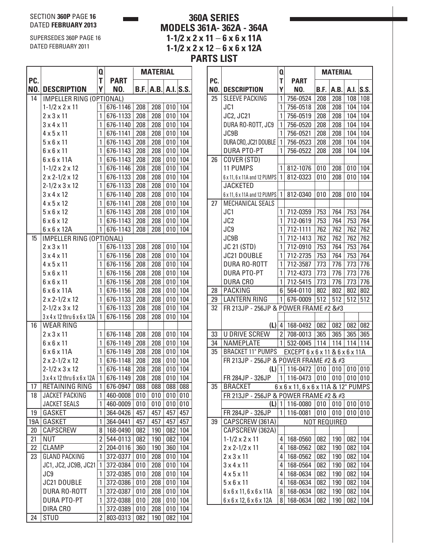#### SECTION **360P** PAGE **16** DATED **FEBRUARY 2013**

SUPERSEDES 360P PAGE 16 DATED FEBRUARY 2011

# **360A SERIES MODELS 361A- 362A - 364A 1-1/2 x 2 x 11** – **6 x 6 x 11A 1-1/2 x 2 x 12** – **6 x 6 x 12A**

|     |                              | Q              |             |      | MATERIAL |     |          |
|-----|------------------------------|----------------|-------------|------|----------|-----|----------|
| PC. |                              | T              | <b>PART</b> |      |          |     |          |
| NO. | <b>DESCRIPTION</b>           | Υ              | NO.         | B.F. | A.B.     |     | A.I.S.S. |
| 14  | IMPELLER RING (OPTIONAL)     |                |             |      |          |     |          |
|     | $1 - 1/2 \times 2 \times 11$ | 1              | 676-1146    | 208  | 208      | 010 | 104      |
|     | $2 \times 3 \times 11$       | 1              | 676-1133    | 208  | 208      | 010 | 104      |
|     | $3 \times 4 \times 11$       | 1              | 676-1140    | 208  | 208      | 010 | 104      |
|     | $4 \times 5 \times 11$       | 1              | 676-1141    | 208  | 208      | 010 | 104      |
|     | $5 \times 6 \times 11$       | 1              | 676-1143    | 208  | 208      | 010 | 104      |
|     | $6 \times 6 \times 11$       | 1              | 676-1143    | 208  | 208      | 010 | 104      |
|     | $6 \times 6 \times 11$ A     | 1              | 676-1143    | 208  | 208      | 010 | 104      |
|     | $1 - 1/2 \times 2 \times 12$ | 1              | 676-1146    | 208  | 208      | 010 | 104      |
|     | $2 \times 2 - 1/2 \times 12$ | 1              | 676-1133    | 208  | 208      | 010 | 104      |
|     | $2 - 1/2 \times 3 \times 12$ | 1              | 676-1133    | 208  | 208      | 010 | 104      |
|     | $3 \times 4 \times 12$       | 1              | 676-1140    | 208  | 208      | 010 | 104      |
|     | $4 \times 5 \times 12$       | 1              | 676-1141    | 208  | 208      | 010 | 104      |
|     | $5 \times 6 \times 12$       | 1              | 676-1143    | 208  | 208      | 010 | 104      |
|     | $6 \times 6 \times 12$       | 1              | 676-1143    | 208  | 208      | 010 | 104      |
|     | $6 \times 6 \times 12$ A     | 1              | 676-1143    | 208  | 208      | 010 | 104      |
| 15  | IMPELLER RING (OPTIONAL)     |                |             |      |          |     |          |
|     | $2 \times 3 \times 11$       | 1              | 676-1133    | 208  | 208      | 010 | 104      |
|     | $3 \times 4 \times 11$       | 1              | 676-1156    | 208  | 208      | 010 | 104      |
|     | $4 \times 5 \times 11$       | 1              | 676-1156    | 208  | 208      | 010 | 104      |
|     | $5 \times 6 \times 11$       | 1              | 676-1156    | 208  | 208      | 010 | 104      |
|     | $6 \times 6 \times 11$       | 1              | 676-1156    | 208  | 208      | 010 | 104      |
|     | $6 \times 6 \times 11$ A     | 1              | 676-1156    | 208  | 208      | 010 | 104      |
|     | $2 \times 2 - 1/2 \times 12$ | 1              | 676-1133    | 208  | 208      | 010 | 104      |
|     | $2 - 1/2 \times 3 \times 12$ | 1              | 676-1133    | 208  | 208      | 010 | 104      |
|     | 3 x 4 x 12 thru 6 x 6 x 12A  | 1              | 676-1156    | 208  | 208      | 010 | 104      |
| 16  | WEAR RING                    |                |             |      |          |     |          |
|     | $2 \times 3 \times 11$       | 1              | 676-1148    | 208  | 208      | 010 | 104      |
|     | $6 \times 6 \times 11$       | 1              | 676-1149    | 208  | 208      | 010 | 104      |
|     | $6 \times 6 \times 11$ A     | 1              | 676-1149    | 208  | 208      | 010 | 104      |
|     | $2 \times 2 - 1/2 \times 12$ | 1              | 676-1148    | 208  | 208      | 010 | 104      |
|     | $2 - 1/2 \times 3 \times 12$ | 1              | 676-1148    | 208  | 208      | 010 | 104      |
|     | 3 x 4 x 12 thru 6 x 6 x 12A  | 1              | 676-1149    | 208  | 208      | 010 | 104      |
| 17  | RETAINING RING               | $\mathbf{i}$   | 676-0947    | 088  | 088      | 088 | 088      |
| 18  | JACKET PACKING               | 1              | 460-0008    | 010  | 010      | 010 | 010      |
|     | <b>JACKET SEALS</b>          | 1              | 460-0009    | 010  | 010      | 010 | 010      |
| 19  | GASKET                       | 1              | 364-0426    | 457  | 457      | 457 | 457      |
| 19A | GASKET                       | 1              | 364-0441    | 457  | 457      | 457 | 457      |
| 20  | CAPSCREW                     | 8              | 168-0490    | 082  | 190      | 082 | 104      |
| 21  | <b>NUT</b>                   | $\overline{2}$ | 544-0113    | 082  | 190      | 082 | 104      |
| 22  | CLAMP                        | $\overline{2}$ | 204-0116    | 360  | 190      | 360 | 104      |
| 23  | <b>GLAND PACKING</b>         | 1              | 372-0377    | 010  | 208      | 010 | 104      |
|     | JC1, JC2, JC9B, JC21         | 1              | 372-0384    | 010  | 208      | 010 | 104      |
|     | JC9                          | 1              | 372-0385    | 010  | 208      | 010 | 104      |
|     | JC21 DOUBLE                  | 1              | 372-0386    | 010  | 208      | 010 | 104      |
|     | DURA RO-ROTT                 | 1              | 372-0387    | 010  | 208      | 010 | 104      |
|     | <b>DURA PTO-PT</b>           | 1              | 372-0388    | 010  | 208      | 010 | 104      |
|     | DIRA CRO                     | 1              | 372-0389    | 010  | 208      | 010 | 104      |
| 24  | <b>STUD</b>                  | 2              | 803-0313    | 082  | 190      | 082 | 104      |
|     |                              |                |             |      |          |     |          |

|     |                                                   | Q              |                                     |            | <b>MATERIAL</b> |            |            |
|-----|---------------------------------------------------|----------------|-------------------------------------|------------|-----------------|------------|------------|
| PC. |                                                   | T              | <b>PART</b>                         |            |                 |            |            |
| NO. | <b>DESCRIPTION</b>                                | Υ              | NO.                                 | B.F.       | A.B.            | A.I.       | S.S.       |
| 25  | <b>SLEEVE PACKING</b>                             | 1              | 756-0524                            | 208        | 208             | 108        | 108        |
|     | JC1                                               | 1              | 756-0518                            | 208        | 208             | 104        | 104        |
|     | JC2, JC21                                         | 1              | 756-0519                            | 208        | 208             | 104        | 104        |
|     | DURA RO-ROTT, JC9                                 | 1              | 756-0520                            | 208        | 208             | 104        | 104        |
|     | JC9B                                              | 1              | 756-0521                            | 208        | 208             | 104        | 104        |
|     | DURA CRO, JC21 DOUBLE                             | 1              | 756-0523                            | 208        | 208             | 104        | 104        |
|     | <b>DURA PTO-PT</b>                                | 1              | 756-0522                            | 208        | 208             | 104        | 104        |
| 26  | COVER (STD)                                       |                |                                     |            |                 |            |            |
|     | 11 PUMPS                                          | 1              | 812-1076                            | 010        | 208             | 010        | 104        |
|     | 6 x 11, 6 x 11A and 12 PUMPS                      | 1              | 812-0323                            | 010        | 208             | 010        | 104        |
|     | <b>JACKETED</b>                                   |                |                                     |            |                 |            |            |
|     | 6 x 11, 6 x 11A and 12 PUMPS                      | 1              | 812-0340                            | 010        | 208             | 010        | 104        |
| 27  | MECHANICAL SEALS                                  |                |                                     |            |                 |            |            |
|     | JC1                                               | 1              | 712-0359                            | 753        | 764             | 753        | 764        |
|     | JC <sub>2</sub>                                   | 1              | 712-0619                            | 753        | 764             | 753        | 764        |
|     | JC9                                               | 1              | 712-1111                            | 762<br>762 | 762             | 762<br>762 | 762        |
|     | JC9B<br><b>JC 21 (STD)</b>                        | 1<br>1         | 712-1413<br>712-0910                |            | 762<br>764      | 753        | 762        |
|     | <b>JC21 DOUBLE</b>                                | 1              |                                     | 753<br>753 |                 |            | 764        |
|     | <b>DURA RO-ROTT</b>                               | 1              | 712-2735<br>712-3587                | 773        | 764<br>776      | 753<br>773 | 764<br>776 |
|     | <b>DURA PTO-PT</b>                                | 1              | 712-4373                            | 773        | 776             | 773        | 776        |
|     | <b>DURA CRO</b>                                   | 1              | 712-5415                            | 773        | 776             | 773        | 776        |
| 28  | <b>PACKING</b>                                    | 6              | 564-0110                            | 802        | 802             | 802        | 802        |
| 29  | <b>LANTERN RING</b>                               | 1              | 676-0009                            | 512        | 512             | 512        | 512        |
| 32  | FR 213JP - 256JP & POWER FRAME #2                |                |                                     |            |                 |            |            |
|     |                                                   |                |                                     |            |                 |            |            |
|     | (L)                                               | 4              | 168-0492                            | 082        | 082             | 082 082    |            |
| 33  | <b>U DRIVE SCREW</b>                              | $\overline{2}$ | 708-0013                            | 365        | 365             | 365        | 365        |
| 34  | <b>NAMEPLATE</b>                                  | $\mathbf{1}$   | 532-0045                            | 114        | 114             |            | 114 114    |
| 35  | <b>BRACKET 11" PUMPS</b>                          |                | EXCEPT 6 x 6 x 11 & 6 x 6 x 11 A    |            |                 |            |            |
|     | FR 213JP - 256JP & POWER FRAME #2 & #3            |                |                                     |            |                 |            |            |
|     | $(L)$   1                                         |                | 116-0472                            | 010        | 010             | 010 010    |            |
|     | FR 284JP - 326JP                                  | $\overline{1}$ | $116-0473$ 010 010 010 010          |            |                 |            |            |
| 35  | <b>BRACKET</b>                                    |                | 6 x 6 x 11, 6 x 6 x 11A & 12" PUMPS |            |                 |            |            |
|     | FR 213JP - 256JP & POWER FRAME #2 & #3            |                |                                     |            |                 |            |            |
|     | (L)                                               | 1              | 116-0080                            | 010        | 010             | 010        | 010        |
|     | FR 284JP - 326JP                                  | 1              | 116-0081                            | 010        | 010             | 010        | 010        |
| 39  | CAPSCREW (361A)                                   |                |                                     |            | NOT REQUIRED    |            |            |
|     | CAPSCREW (362A)                                   |                |                                     |            |                 |            |            |
|     | $1 - 1/2 \times 2 \times 11$                      | 4              | 168-0560                            | 082        | 190             | 082        | 104        |
|     | $2 \times 2 - 1/2 \times 11$                      | 4              | 168-0562                            | 082        | 190             | 082        | 104        |
|     | $2 \times 3 \times 11$                            | 4              | 168-0562                            | 082        | 190             | 082        | 104        |
|     | $3 \times 4 \times 11$                            | 4              | 168-0564                            | 082        | 190             | 082        | 104        |
|     | $4 \times 5 \times 11$                            | 4              | 168-0634                            | 082        | 190             | 082        | 104        |
|     | $5 \times 6 \times 11$                            | 4              | 168-0634                            | 082        | 190             | 082        | 104        |
|     | $6 \times 6 \times 11$ , $6 \times 6 \times 11$ A | 8              | 168-0634                            | 082        | 190             | 082        | 104        |
|     | 6 x 6 x 12, 6 x 6 x 12A                           | 8              | 168-0634                            | 082        | 190             | 082        | 104        |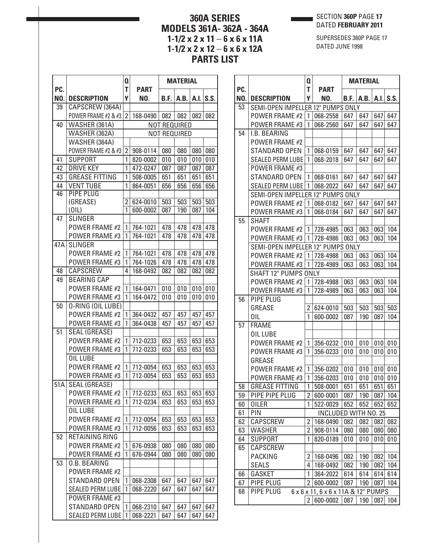SECTION **360P** PAGE **17** DATED **FEBRUARY 2011**

# **360A SERIES MODELS 361A- 362A - 364A 1-1/2 x 2 x 11** – **6 x 6 x 11A 1-1/2 x 2 x 12** – **6 x 6 x 12A PARTS LIST**

SUPERSEDES 360P PAGE 17 DATED JUNE 1998

|     |                         | Q              |             | <b>MATERIAL</b> |                     |      |      |
|-----|-------------------------|----------------|-------------|-----------------|---------------------|------|------|
| PC. |                         | T              | <b>PART</b> |                 |                     |      |      |
| NO. | <b>DESCRIPTION</b>      | Y              | NO.         | B.F.            | A.B.                | A.I. | S.S. |
| 39  | CAPSCREW (364A)         |                |             |                 |                     |      |      |
|     | POWER FRAME #2 & #3     | $\overline{2}$ | 168-0490    | 082             | 082                 | 082  | 082  |
| 40  | WASHER (361A)           |                |             |                 | NOT REQUIRED        |      |      |
|     | WASHER (362A)           |                |             |                 | <b>NOT REQUIRED</b> |      |      |
|     | WASHER (364A)           |                |             |                 |                     |      |      |
|     | POWER FRAME #2 & #3     | $\overline{2}$ | 908-0114    | 080             | 080                 | 080  | 080  |
| 41  | <b>SUPPORT</b>          | 1              | 820-0002    | 010             | 010                 | 010  | 010  |
| 42  | <b>DRIVE KEY</b>        | 1              | 472-0247    | 087             | 087                 | 087  | 087  |
| 43  | <b>GREASE FITTING</b>   | 1              | 508-0005    | 651             | 651                 | 651  | 651  |
| 44  | <b>VENT TUBE</b>        | 1              | 864-0051    | 656             | 656                 | 656  | 656  |
| 46  | <b>PIPE PLUG</b>        |                |             |                 |                     |      |      |
|     | (GREASE)                | $\overline{2}$ | 624-0010    | 503             | 503                 | 503  | 503  |
|     | (0 L)                   | 1              | 600-0002    | 087             | 190                 | 087  | 104  |
| 47  | <b>SLINGER</b>          |                |             |                 |                     |      |      |
|     | POWER FRAME #2          | 1              | 764-1021    | 478             | 478                 | 478  | 478  |
|     | POWER FRAME #3          | 1              | 764-1021    | 478             | 478                 | 478  | 478  |
| 47A | <b>SLINGER</b>          |                |             |                 |                     |      |      |
|     | POWER FRAME #2          | 1              | 764-1021    | 478             | 478                 | 478  | 478  |
|     | POWER FRAME #3          | 1              | 764-1026    | 478             | 478                 | 478  | 478  |
| 48  | CAPSCREW                | 4              | 168-0492    | 082             | 082                 | 082  | 082  |
| 49  | <b>BEARING CAP</b>      |                |             |                 |                     |      |      |
|     | <b>POWER FRAME #2</b>   | 1              | 164-0471    | 010             | 010                 | 010  | 010  |
|     | POWER FRAME #3          | 1              | 164-0472    | 010             | 010                 | 010  | 010  |
| 50  | 0-RING (OIL LUBE)       |                |             |                 |                     |      |      |
|     | POWER FRAME #2          | 1              | 364-0432    | 457             | 457                 | 457  | 457  |
|     | POWER FRAME #3          | 1              | 364-0438    | 457             | 457                 | 457  | 457  |
| 51  | <b>SEAL (GREASE)</b>    |                |             |                 |                     |      |      |
|     | POWER FRAME #2          | 1              | 712-0233    | 653             | 653                 | 653  | 653  |
|     | POWER FRAME #3          | 1              | 712-0233    | 653             | 653                 | 653  | 653  |
|     | OIL LUBE                |                |             |                 |                     |      |      |
|     | POWER FRAME #2          | 1              | 712-0054    | 653             | 653                 | 653  | 653  |
|     | POWER FRAME #3          | 1              | 712-0054    | 653             | 653                 | 653  | 653  |
| 51A | <b>SEAL (GREASE)</b>    |                |             |                 |                     |      |      |
|     | <b>POWER FRAME #2</b>   | 1              | 712-0233    | 653             | 653                 | 653  | 653  |
|     | POWER FRAME #3          | 1              | 712-0234    | 653             | 653                 | 653  | 653  |
|     | OIL LUBE                |                |             |                 |                     |      |      |
|     | POWER FRAME #2          | 1              | 712-0054    | 653             | 653                 | 653  | 653  |
|     | POWER FRAME #3          | 1              | 712-0056    | 653             | 653                 | 653  | 653  |
| 52  | RETAINING RING          |                |             |                 |                     |      |      |
|     | POWER FRAME #2          | 1              | 676-0938    | 080             | 080                 | 080  | 080  |
|     | POWER FRAME #3          | 1              | 676-0944    | 080             | 080                 | 080  | 080  |
| 53  | <b>0.B. BEARING</b>     |                |             |                 |                     |      |      |
|     | POWER FRAME #2          |                |             |                 |                     |      |      |
|     | STANDARD OPEN           | 1              | 068-2308    | 647             | 647                 | 647  | 647  |
|     | <b>SEALED PERM LUBE</b> | 1              |             |                 |                     |      |      |
|     |                         |                | 068-2220    | 647             | 647                 | 647  | 647  |
|     | POWER FRAME #3          |                |             |                 |                     |      |      |
|     | STANDARD OPEN           | 1              | 068-2310    | 647             | 647                 | 647  | 647  |
|     | <b>SEALED PERM LUBE</b> | 1              | 068-2221    | 647             | 647                 | 647  | 647  |

| PC.<br>NO.<br>53<br>54<br>55<br>56<br>57<br>58<br>59<br>60<br>61<br>62<br>63 | <b>DESCRIPTION</b><br>SEMI-OPEN IMPELLER 12" PUMPS ONLY<br><b>POWER FRAME #2</b> | T<br>Υ         | <b>PART</b><br>NO.                      |            |            |            |             |
|------------------------------------------------------------------------------|----------------------------------------------------------------------------------|----------------|-----------------------------------------|------------|------------|------------|-------------|
|                                                                              |                                                                                  |                |                                         |            |            |            | $A.I.$ S.S. |
|                                                                              |                                                                                  |                |                                         | B.F.       | A.B.       |            |             |
|                                                                              |                                                                                  | $\mathbf{1}$   | 068-2558                                | 647        | 647        | 647        | 647         |
|                                                                              | <b>POWER FRAME #3</b>                                                            | 1              | 068-2560                                | 647        | 647        | 647        | 647         |
|                                                                              | I.B. BEARING                                                                     |                |                                         |            |            |            |             |
|                                                                              | <b>POWER FRAME #2</b>                                                            |                |                                         |            |            |            |             |
|                                                                              | <b>STANDARD OPEN</b>                                                             | 1              | 068-0159                                | 647        | 647        | 647        | 647         |
|                                                                              | <b>SEALED PERM LUBE</b>                                                          | 1              | 068-2018                                | 647        | 647        | 647        | 647         |
|                                                                              | POWER FRAME #3                                                                   |                |                                         |            |            |            |             |
|                                                                              | <b>STANDARD OPEN</b>                                                             | 1              | 068-0161                                | 647        | 647        | 647        | 647         |
|                                                                              | <b>SEALED PERM LUBE</b>                                                          | 1              | 068-2022                                | 647        | 647        | 647        | 647         |
|                                                                              | SEMI-OPEN IMPELLER 12" PUMPS ONLY                                                |                |                                         |            |            |            |             |
|                                                                              | POWER FRAME #2                                                                   | $\mathbf{1}$   | 068-0182                                | 647        | 647        | 647        | 647         |
|                                                                              | <b>POWER FRAME #3</b>                                                            | 1              | 068-0184                                | 647        | 647        | 647        | 647         |
|                                                                              | <b>SHAFT</b>                                                                     |                |                                         |            |            |            |             |
|                                                                              | <b>POWER FRAME #2</b>                                                            | 1              | 728-4985                                | 063        | 063        | 063        | 104         |
|                                                                              | POWER FRAME #3                                                                   | 1              | 728-4986                                | 063        | 063        | 063        | 104         |
|                                                                              | SEMI-OPEN IMPELLER 12" PUMPS ONLY                                                |                |                                         |            |            |            |             |
|                                                                              | <b>POWER FRAME #2</b>                                                            | 1              | 728-4988                                | 063        | 063        | 063        | 104         |
|                                                                              | POWER FRAME #3                                                                   | 1              | 728-4989                                | 063        | 063        | 063        | 104         |
|                                                                              | <b>SHAFT 12" PUMPS ONLY</b>                                                      |                |                                         |            |            |            |             |
|                                                                              | POWER FRAME #2                                                                   | 1              | 728-4988                                | 063        | 063        | 063        | 104         |
|                                                                              | POWER FRAME #3                                                                   | 1              | 728-4989                                | 063        | 063        | 063        | 104         |
|                                                                              | PIPE PLUG                                                                        |                |                                         |            |            |            |             |
|                                                                              | <b>GREASE</b>                                                                    | 2              | 624-0010                                | 503        | 503        | 503        | 503         |
|                                                                              | OIL                                                                              | 1              | 600-0002                                | 087        | 190        | 087        | 104         |
|                                                                              | <b>FRAME</b>                                                                     |                |                                         |            |            |            |             |
|                                                                              | OIL LUBE                                                                         |                |                                         |            |            |            |             |
|                                                                              | <b>POWER FRAME #2</b>                                                            | 1              | 356-0232                                | 010        | 010        |            | 010 010     |
|                                                                              | POWER FRAME #3                                                                   | 1              | 356-0233                                | 010        | 010        | 010        | 010         |
|                                                                              | <b>GREASE</b>                                                                    |                |                                         |            |            |            |             |
|                                                                              | <b>POWER FRAME #2</b>                                                            | 1              | 356-0202                                | 010        | 010        | 010        | 010         |
|                                                                              | <b>POWER FRAME #3</b><br><b>GREASE FITTING</b>                                   | 1<br>1         | 356-0203<br>508-0001                    | 010        | 010<br>651 | 010<br>651 | 010         |
|                                                                              | PIPE PIPE PLUG                                                                   | $\overline{2}$ |                                         | 651<br>087 |            |            | 651         |
|                                                                              | <b>OILER</b>                                                                     | 1              | 600-0001                                |            | 190        | 087        | 104         |
|                                                                              | PIN                                                                              |                | 522-0029                                | 652        | 652        | 652        | 652         |
|                                                                              | CAPSCREW                                                                         | 2              | <b>INCLUDED WITH NO. 25</b><br>168-0490 | 082        | 082        | 082        | 082         |
|                                                                              | <b>WASHER</b>                                                                    | 2              | 908-0114                                | 080        | 080        | 080        | 080         |
| 64                                                                           | <b>SUPPORT</b>                                                                   | 1              | 820-0189                                | 010        | 010        | 010        | 010         |
| 65                                                                           | CAPSCREW                                                                         |                |                                         |            |            |            |             |
|                                                                              | <b>PACKING</b>                                                                   | 2              | 168-0496                                | 082        | 190        | 082        | 104         |
|                                                                              | <b>SEALS</b>                                                                     | 4              | 168-0492                                | 082        | 190        | 082        | 104         |
| 66                                                                           | GASKET                                                                           | 1              | 364-2022                                | 614        | 614        | 614        | 614         |
| 67                                                                           |                                                                                  | 2              | 600-0002                                | 087        | 190        | 087        | 104         |
| 68                                                                           |                                                                                  |                |                                         |            |            |            |             |
|                                                                              | PIPE PLUG<br>PIPE PLUG                                                           |                | 6 x 6 x 11, 6 x 6 x 11A & 12" PUMPS     |            |            |            |             |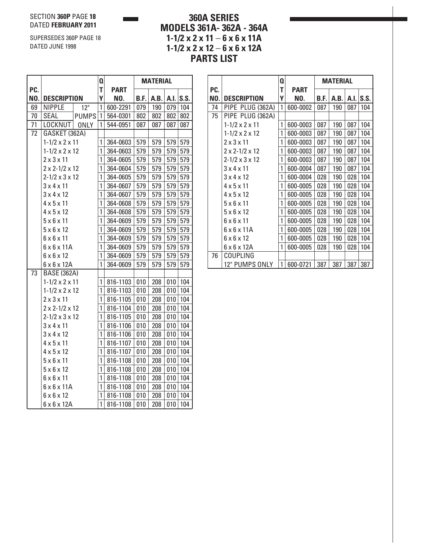#### SECTION **360P** PAGE **18** DATED **FEBRUARY 2011**

SUPERSEDES 360P PAGE 18 DATED JUNE 1998

# **360A SERIES MODELS 361A- 362A - 364A 1-1/2 x 2 x 11** – **6 x 6 x 11A 1-1/2 x 2 x 12** – **6 x 6 x 12A PARTS LIST**

|     |                              |                   | Q            |             | <b>MATERIAL</b> |      |     |                   |
|-----|------------------------------|-------------------|--------------|-------------|-----------------|------|-----|-------------------|
| PC. |                              |                   | T            | <b>PART</b> |                 |      |     |                   |
| NO. | <b>DESCRIPTION</b>           |                   | Υ            | NO.         | B.F.            | A.B. |     | A.I. $\vert$ S.S. |
| 69  | <b>NIPPLE</b>                | $\overline{12}$ " | 1            | 600-2291    | 079             | 190  | 079 | 104               |
| 70  | SEAL                         | <b>PUMPS</b>      | $\mathbf{1}$ | 564-0301    | 802             | 802  | 802 | 802               |
| 71  | LOCKNUT                      | <b>ONLY</b>       | 1            | 544-0951    | 087             | 087  | 087 | 087               |
| 72  | GASKET (362A)                |                   |              |             |                 |      |     |                   |
|     | $1 - 1/2 \times 2 \times 11$ |                   | 1            | 364-0603    | 579             | 579  | 579 | 579               |
|     | $1 - 1/2 \times 2 \times 12$ |                   | 1            | 364-0603    | 579             | 579  | 579 | 579               |
|     | $2 \times 3 \times 11$       |                   | 1            | 364-0605    | 579             | 579  | 579 | 579               |
|     | $2 \times 2 - 1/2 \times 12$ |                   | 1            | 364-0604    | 579             | 579  | 579 | 579               |
|     | $2 - 1/2 \times 3 \times 12$ |                   | 1            | 364-0605    | 579             | 579  | 579 | 579               |
|     | 3x4x11                       |                   | 1            | 364-0607    | 579             | 579  | 579 | 579               |
|     | $3 \times 4 \times 12$       |                   | 1            | 364-0607    | 579             | 579  | 579 | 579               |
|     | $4 \times 5 \times 11$       |                   | 1            | 364-0608    | 579             | 579  | 579 | 579               |
|     | $4 \times 5 \times 12$       |                   | 1            | 364-0608    | 579             | 579  | 579 | 579               |
|     | $5 \times 6 \times 11$       |                   | 1            | 364-0609    | 579             | 579  | 579 | 579               |
|     | $5 \times 6 \times 12$       |                   | 1            | 364-0609    | 579             | 579  | 579 | 579               |
|     | $6 \times 6 \times 11$       |                   | 1            | 364-0609    | 579             | 579  | 579 | 579               |
|     | $6 \times 6 \times 11$ A     |                   | 1            | 364-0609    | 579             | 579  | 579 | 579               |
|     | $6 \times 6 \times 12$       |                   | 1            | 364-0609    | 579             | 579  | 579 | 579               |
|     | $6 \times 6 \times 12A$      |                   | 1            | 364-0609    | 579             | 579  | 579 | 579               |
| 73  | <b>BASE (362A)</b>           |                   |              |             |                 |      |     |                   |
|     | $1 - 1/2 \times 2 \times 11$ |                   | 1            | 816-1103    | 010             | 208  | 010 | 104               |
|     | $1 - 1/2 \times 2 \times 12$ |                   | 1            | 816-1103    | 010             | 208  | 010 | 104               |
|     | $2 \times 3 \times 11$       |                   | 1            | 816-1105    | 010             | 208  | 010 | 104               |
|     | $2 \times 2 - 1/2 \times 12$ |                   | 1            | 816-1104    | 010             | 208  | 010 | 104               |
|     | $2 - 1/2 \times 3 \times 12$ |                   | 1            | 816-1105    | 010             | 208  | 010 | 104               |
|     | $3 \times 4 \times 11$       |                   | 1            | 816-1106    | 010             | 208  | 010 | 104               |
|     | 3x4x12                       |                   | 1            | 816-1106    | 010             | 208  | 010 | 104               |
|     | $4 \times 5 \times 11$       |                   | 1            | 816-1107    | 010             | 208  | 010 | 104               |
|     | $4 \times 5 \times 12$       |                   | 1            | 816-1107    | 010             | 208  | 010 | 104               |
|     | $5 \times 6 \times 11$       |                   | 1            | 816-1108    | 010             | 208  | 010 | 104               |
|     | $5 \times 6 \times 12$       |                   | 1            | 816-1108    | 010             | 208  | 010 | 104               |
|     | $6 \times 6 \times 11$       |                   | 1            | 816-1108    | 010             | 208  | 010 | 104               |
|     | $6 \times 6 \times 11$ A     |                   | 1            | 816-1108    | 010             | 208  | 010 | 104               |
|     | $6 \times 6 \times 12$       |                   | 1            | 816-1108    | 010             | 208  | 010 | 104               |
|     | $6 \times 6 \times 12$ A     |                   | 1            | 816-1108    | 010             | 208  | 010 | 104               |

|     |                              | Q |             | <b>MATERIAL</b> |      |      |      |
|-----|------------------------------|---|-------------|-----------------|------|------|------|
| PC. |                              | T | <b>PART</b> |                 |      |      |      |
| NO. | <b>DESCRIPTION</b>           | Υ | NO.         | B.F.            | A.B. | A.I. | S.S. |
| 74  | PIPE PLUG (362A)             | 1 | 600-0002    | 087             | 190  | 087  | 104  |
| 75  | PIPE PLUG (362A)             |   |             |                 |      |      |      |
|     | $1 - 1/2 \times 2 \times 11$ | 1 | 600-0003    | 087             | 190  | 087  | 104  |
|     | $1 - 1/2 \times 2 \times 12$ | 1 | 600-0003    | 087             | 190  | 087  | 104  |
|     | $2 \times 3 \times 11$       | 1 | 600-0003    | 087             | 190  | 087  | 104  |
|     | $2 \times 2 - 1/2 \times 12$ | 1 | 600-0003    | 087             | 190  | 087  | 104  |
|     | $2 - 1/2 \times 3 \times 12$ | 1 | 600-0003    | 087             | 190  | 087  | 104  |
|     | $3 \times 4 \times 11$       | 1 | 600-0004    | 087             | 190  | 087  | 104  |
|     | $3 \times 4 \times 12$       | 1 | 600-0004    | 028             | 190  | 028  | 104  |
|     | $4 \times 5 \times 11$       | 1 | 600-0005    | 028             | 190  | 028  | 104  |
|     | $4 \times 5 \times 12$       | 1 | 600-0005    | 028             | 190  | 028  | 104  |
|     | $5 \times 6 \times 11$       | 1 | 600-0005    | 028             | 190  | 028  | 104  |
|     | $5 \times 6 \times 12$       | 1 | 600-0005    | 028             | 190  | 028  | 104  |
|     | $6 \times 6 \times 11$       | 1 | 600-0005    | 028             | 190  | 028  | 104  |
|     | $6 \times 6 \times 11$ A     | 1 | 600-0005    | 028             | 190  | 028  | 104  |
|     | $6 \times 6 \times 12$       | 1 | 600-0005    | 028             | 190  | 028  | 104  |
|     | $6 \times 6 \times 12$ A     | 1 | 600-0005    | 028             | 190  | 028  | 104  |
| 76  | COUPLING                     |   |             |                 |      |      |      |
|     | 12" PUMPS ONLY               | 1 | 600-0721    | 387             | 387  | 387  | 387  |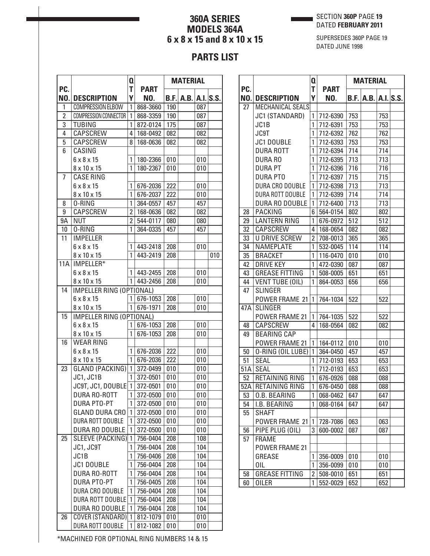### SECTION **360P** PAGE **19** DATED **FEBRUARY 2011**

# **360A SERIES MODELS 364A 6 x 8 x 15 and 8 x 10 x 15**

SUPERSEDES 360P PAGE 19 DATED JUNE 1998

# **PARTS LIST**

| T<br><b>PART</b><br>Y<br>NO.<br><b>DESCRIPTION</b><br>NO.<br>B.F.   A.B.   A.I.   S.S.  <br>COMPRESSION ELBOW<br>1<br>868-3660<br>190<br>087<br>1<br>$\overline{2}$<br>COMPRESSION CONNECTOR<br>868-3359<br>190<br>1<br>087<br>3<br><b>TUBING</b><br>175<br>1<br>872-0124<br>087<br>4<br>CAPSCREW<br>4<br>082<br>082<br>168-0492<br>5<br>CAPSCREW<br>168-0636<br>082<br>082<br>8<br>CASING<br>6<br>$6 \times 8 \times 15$<br>180-2366<br>010<br>010<br>1<br>8 x 10 x 15<br>1<br>180-2367<br>010<br>010<br><b>CASE RING</b><br>7<br>$6 \times 8 \times 15$<br>676-2036<br>222<br>1<br>010<br>1<br>8 x 10 x 15<br>676-2037<br>222<br>010<br>0-RING<br>1<br>8<br>364-0557<br>457<br>457<br>9<br>CAPSCREW<br>$\overline{2}$<br>168-0636<br>082<br>082<br>9A<br><b>NUT</b><br>$\overline{2}$<br>544-0117<br>080<br>080<br>10<br>0-RING<br>1<br>457<br>457<br>364-0335<br><b>IMPELLER</b><br>11<br>$6 \times 8 \times 15$<br>443-2418<br>208<br>010<br>1<br>1<br>443-2419<br>010<br>8 x 10 x 15<br>208<br>IMPELLER*<br><b>11A</b><br>$6 \times 8 \times 15$<br>$1$ 443-2455<br>010<br>208<br>$1$ 443-2456<br>208<br>010<br>8 x 10 x 15<br>14<br>IMPELLER RING (OPTIONAL)<br>208<br>$6 \times 8 \times 15$<br>$1 676-1053$<br>010<br>$1 676-1971$<br>208<br>8 x 10 x 15<br>010<br>15<br>IMPELLER RING (OPTIONAL)<br>$6 \times 8 \times 15$<br>$1 676-1053$<br>208<br>010<br>1<br>8 x 10 x 15<br>676-1053<br>208<br>010<br><b>WEAR RING</b><br>16<br>$6 \times 8 \times 15$<br>676-2036<br>222<br>010<br>1<br>8 x 10 x 15<br>1<br>676-2036<br>222<br>010<br><b>GLAND (PACKING)</b><br>$\overline{1}$ 372-0499<br>23<br>010<br>010<br>JC1, JC1B<br>372-0501<br>010<br>010<br>1<br>JC9T, JC1, DOUBLE 1 372-0501<br>010<br>010<br>DURA RO-ROTT<br>1<br>010<br>010<br>372-0500<br>DURA PTO-PT<br>1<br>372-0500<br>010<br>010<br><b>GLAND DURA CRO</b><br>1<br>372-0500<br>010<br>010<br>DURA ROTT DOUBLE<br>1<br>372-0500<br>010<br>010<br>DURA RO DOUBLE<br>1<br>372-0500<br>010<br>010<br>SLEEVE (PACKING)<br>$\mathbf{1}$<br>25<br>756-0404<br>208<br>108<br>JC1, JC9T<br>1<br>104<br>756-0404<br>208<br>JC1B<br>1<br>756-0406<br>208<br>104<br><b>JC1 DOUBLE</b><br>1<br>756-0404<br>104<br>208<br>DURA RO-ROTT<br>1<br>756-0404<br>208<br>104<br><b>DURA PTO-PT</b><br>1<br>756-0405<br>208<br>104<br>DURA CRO DOUBLE<br>756-0404<br>208<br>1<br>104<br><b>DURA ROTT DOUBLE</b><br>756-0404<br>208<br>1<br>104<br>DURA RO DOUBLE<br>1<br>756-0404<br>208<br>104<br><b>COVER (STANDARD)</b><br>$\mathbf{1}$<br>26<br>812-1079<br>010<br>010 |     |                  | $\mathbf{0}$ |          | <b>MATERIAL</b> |  |     |  |
|-------------------------------------------------------------------------------------------------------------------------------------------------------------------------------------------------------------------------------------------------------------------------------------------------------------------------------------------------------------------------------------------------------------------------------------------------------------------------------------------------------------------------------------------------------------------------------------------------------------------------------------------------------------------------------------------------------------------------------------------------------------------------------------------------------------------------------------------------------------------------------------------------------------------------------------------------------------------------------------------------------------------------------------------------------------------------------------------------------------------------------------------------------------------------------------------------------------------------------------------------------------------------------------------------------------------------------------------------------------------------------------------------------------------------------------------------------------------------------------------------------------------------------------------------------------------------------------------------------------------------------------------------------------------------------------------------------------------------------------------------------------------------------------------------------------------------------------------------------------------------------------------------------------------------------------------------------------------------------------------------------------------------------------------------------------------------------------------------------------------------------------------------------------------------------------------------------------------------------------------------------------------------------------------------------------------------------------------------------------------------------------------------------------------------------------------------------------------------------------------------------------------------------------|-----|------------------|--------------|----------|-----------------|--|-----|--|
|                                                                                                                                                                                                                                                                                                                                                                                                                                                                                                                                                                                                                                                                                                                                                                                                                                                                                                                                                                                                                                                                                                                                                                                                                                                                                                                                                                                                                                                                                                                                                                                                                                                                                                                                                                                                                                                                                                                                                                                                                                                                                                                                                                                                                                                                                                                                                                                                                                                                                                                                     | PC. |                  |              |          |                 |  |     |  |
|                                                                                                                                                                                                                                                                                                                                                                                                                                                                                                                                                                                                                                                                                                                                                                                                                                                                                                                                                                                                                                                                                                                                                                                                                                                                                                                                                                                                                                                                                                                                                                                                                                                                                                                                                                                                                                                                                                                                                                                                                                                                                                                                                                                                                                                                                                                                                                                                                                                                                                                                     |     |                  |              |          |                 |  |     |  |
|                                                                                                                                                                                                                                                                                                                                                                                                                                                                                                                                                                                                                                                                                                                                                                                                                                                                                                                                                                                                                                                                                                                                                                                                                                                                                                                                                                                                                                                                                                                                                                                                                                                                                                                                                                                                                                                                                                                                                                                                                                                                                                                                                                                                                                                                                                                                                                                                                                                                                                                                     |     |                  |              |          |                 |  |     |  |
|                                                                                                                                                                                                                                                                                                                                                                                                                                                                                                                                                                                                                                                                                                                                                                                                                                                                                                                                                                                                                                                                                                                                                                                                                                                                                                                                                                                                                                                                                                                                                                                                                                                                                                                                                                                                                                                                                                                                                                                                                                                                                                                                                                                                                                                                                                                                                                                                                                                                                                                                     |     |                  |              |          |                 |  |     |  |
|                                                                                                                                                                                                                                                                                                                                                                                                                                                                                                                                                                                                                                                                                                                                                                                                                                                                                                                                                                                                                                                                                                                                                                                                                                                                                                                                                                                                                                                                                                                                                                                                                                                                                                                                                                                                                                                                                                                                                                                                                                                                                                                                                                                                                                                                                                                                                                                                                                                                                                                                     |     |                  |              |          |                 |  |     |  |
|                                                                                                                                                                                                                                                                                                                                                                                                                                                                                                                                                                                                                                                                                                                                                                                                                                                                                                                                                                                                                                                                                                                                                                                                                                                                                                                                                                                                                                                                                                                                                                                                                                                                                                                                                                                                                                                                                                                                                                                                                                                                                                                                                                                                                                                                                                                                                                                                                                                                                                                                     |     |                  |              |          |                 |  |     |  |
|                                                                                                                                                                                                                                                                                                                                                                                                                                                                                                                                                                                                                                                                                                                                                                                                                                                                                                                                                                                                                                                                                                                                                                                                                                                                                                                                                                                                                                                                                                                                                                                                                                                                                                                                                                                                                                                                                                                                                                                                                                                                                                                                                                                                                                                                                                                                                                                                                                                                                                                                     |     |                  |              |          |                 |  |     |  |
|                                                                                                                                                                                                                                                                                                                                                                                                                                                                                                                                                                                                                                                                                                                                                                                                                                                                                                                                                                                                                                                                                                                                                                                                                                                                                                                                                                                                                                                                                                                                                                                                                                                                                                                                                                                                                                                                                                                                                                                                                                                                                                                                                                                                                                                                                                                                                                                                                                                                                                                                     |     |                  |              |          |                 |  |     |  |
|                                                                                                                                                                                                                                                                                                                                                                                                                                                                                                                                                                                                                                                                                                                                                                                                                                                                                                                                                                                                                                                                                                                                                                                                                                                                                                                                                                                                                                                                                                                                                                                                                                                                                                                                                                                                                                                                                                                                                                                                                                                                                                                                                                                                                                                                                                                                                                                                                                                                                                                                     |     |                  |              |          |                 |  |     |  |
|                                                                                                                                                                                                                                                                                                                                                                                                                                                                                                                                                                                                                                                                                                                                                                                                                                                                                                                                                                                                                                                                                                                                                                                                                                                                                                                                                                                                                                                                                                                                                                                                                                                                                                                                                                                                                                                                                                                                                                                                                                                                                                                                                                                                                                                                                                                                                                                                                                                                                                                                     |     |                  |              |          |                 |  |     |  |
|                                                                                                                                                                                                                                                                                                                                                                                                                                                                                                                                                                                                                                                                                                                                                                                                                                                                                                                                                                                                                                                                                                                                                                                                                                                                                                                                                                                                                                                                                                                                                                                                                                                                                                                                                                                                                                                                                                                                                                                                                                                                                                                                                                                                                                                                                                                                                                                                                                                                                                                                     |     |                  |              |          |                 |  |     |  |
|                                                                                                                                                                                                                                                                                                                                                                                                                                                                                                                                                                                                                                                                                                                                                                                                                                                                                                                                                                                                                                                                                                                                                                                                                                                                                                                                                                                                                                                                                                                                                                                                                                                                                                                                                                                                                                                                                                                                                                                                                                                                                                                                                                                                                                                                                                                                                                                                                                                                                                                                     |     |                  |              |          |                 |  |     |  |
|                                                                                                                                                                                                                                                                                                                                                                                                                                                                                                                                                                                                                                                                                                                                                                                                                                                                                                                                                                                                                                                                                                                                                                                                                                                                                                                                                                                                                                                                                                                                                                                                                                                                                                                                                                                                                                                                                                                                                                                                                                                                                                                                                                                                                                                                                                                                                                                                                                                                                                                                     |     |                  |              |          |                 |  |     |  |
|                                                                                                                                                                                                                                                                                                                                                                                                                                                                                                                                                                                                                                                                                                                                                                                                                                                                                                                                                                                                                                                                                                                                                                                                                                                                                                                                                                                                                                                                                                                                                                                                                                                                                                                                                                                                                                                                                                                                                                                                                                                                                                                                                                                                                                                                                                                                                                                                                                                                                                                                     |     |                  |              |          |                 |  |     |  |
|                                                                                                                                                                                                                                                                                                                                                                                                                                                                                                                                                                                                                                                                                                                                                                                                                                                                                                                                                                                                                                                                                                                                                                                                                                                                                                                                                                                                                                                                                                                                                                                                                                                                                                                                                                                                                                                                                                                                                                                                                                                                                                                                                                                                                                                                                                                                                                                                                                                                                                                                     |     |                  |              |          |                 |  |     |  |
|                                                                                                                                                                                                                                                                                                                                                                                                                                                                                                                                                                                                                                                                                                                                                                                                                                                                                                                                                                                                                                                                                                                                                                                                                                                                                                                                                                                                                                                                                                                                                                                                                                                                                                                                                                                                                                                                                                                                                                                                                                                                                                                                                                                                                                                                                                                                                                                                                                                                                                                                     |     |                  |              |          |                 |  |     |  |
|                                                                                                                                                                                                                                                                                                                                                                                                                                                                                                                                                                                                                                                                                                                                                                                                                                                                                                                                                                                                                                                                                                                                                                                                                                                                                                                                                                                                                                                                                                                                                                                                                                                                                                                                                                                                                                                                                                                                                                                                                                                                                                                                                                                                                                                                                                                                                                                                                                                                                                                                     |     |                  |              |          |                 |  |     |  |
|                                                                                                                                                                                                                                                                                                                                                                                                                                                                                                                                                                                                                                                                                                                                                                                                                                                                                                                                                                                                                                                                                                                                                                                                                                                                                                                                                                                                                                                                                                                                                                                                                                                                                                                                                                                                                                                                                                                                                                                                                                                                                                                                                                                                                                                                                                                                                                                                                                                                                                                                     |     |                  |              |          |                 |  |     |  |
|                                                                                                                                                                                                                                                                                                                                                                                                                                                                                                                                                                                                                                                                                                                                                                                                                                                                                                                                                                                                                                                                                                                                                                                                                                                                                                                                                                                                                                                                                                                                                                                                                                                                                                                                                                                                                                                                                                                                                                                                                                                                                                                                                                                                                                                                                                                                                                                                                                                                                                                                     |     |                  |              |          |                 |  |     |  |
|                                                                                                                                                                                                                                                                                                                                                                                                                                                                                                                                                                                                                                                                                                                                                                                                                                                                                                                                                                                                                                                                                                                                                                                                                                                                                                                                                                                                                                                                                                                                                                                                                                                                                                                                                                                                                                                                                                                                                                                                                                                                                                                                                                                                                                                                                                                                                                                                                                                                                                                                     |     |                  |              |          |                 |  |     |  |
|                                                                                                                                                                                                                                                                                                                                                                                                                                                                                                                                                                                                                                                                                                                                                                                                                                                                                                                                                                                                                                                                                                                                                                                                                                                                                                                                                                                                                                                                                                                                                                                                                                                                                                                                                                                                                                                                                                                                                                                                                                                                                                                                                                                                                                                                                                                                                                                                                                                                                                                                     |     |                  |              |          |                 |  |     |  |
|                                                                                                                                                                                                                                                                                                                                                                                                                                                                                                                                                                                                                                                                                                                                                                                                                                                                                                                                                                                                                                                                                                                                                                                                                                                                                                                                                                                                                                                                                                                                                                                                                                                                                                                                                                                                                                                                                                                                                                                                                                                                                                                                                                                                                                                                                                                                                                                                                                                                                                                                     |     |                  |              |          |                 |  |     |  |
|                                                                                                                                                                                                                                                                                                                                                                                                                                                                                                                                                                                                                                                                                                                                                                                                                                                                                                                                                                                                                                                                                                                                                                                                                                                                                                                                                                                                                                                                                                                                                                                                                                                                                                                                                                                                                                                                                                                                                                                                                                                                                                                                                                                                                                                                                                                                                                                                                                                                                                                                     |     |                  |              |          |                 |  |     |  |
|                                                                                                                                                                                                                                                                                                                                                                                                                                                                                                                                                                                                                                                                                                                                                                                                                                                                                                                                                                                                                                                                                                                                                                                                                                                                                                                                                                                                                                                                                                                                                                                                                                                                                                                                                                                                                                                                                                                                                                                                                                                                                                                                                                                                                                                                                                                                                                                                                                                                                                                                     |     |                  |              |          |                 |  |     |  |
|                                                                                                                                                                                                                                                                                                                                                                                                                                                                                                                                                                                                                                                                                                                                                                                                                                                                                                                                                                                                                                                                                                                                                                                                                                                                                                                                                                                                                                                                                                                                                                                                                                                                                                                                                                                                                                                                                                                                                                                                                                                                                                                                                                                                                                                                                                                                                                                                                                                                                                                                     |     |                  |              |          |                 |  |     |  |
|                                                                                                                                                                                                                                                                                                                                                                                                                                                                                                                                                                                                                                                                                                                                                                                                                                                                                                                                                                                                                                                                                                                                                                                                                                                                                                                                                                                                                                                                                                                                                                                                                                                                                                                                                                                                                                                                                                                                                                                                                                                                                                                                                                                                                                                                                                                                                                                                                                                                                                                                     |     |                  |              |          |                 |  |     |  |
|                                                                                                                                                                                                                                                                                                                                                                                                                                                                                                                                                                                                                                                                                                                                                                                                                                                                                                                                                                                                                                                                                                                                                                                                                                                                                                                                                                                                                                                                                                                                                                                                                                                                                                                                                                                                                                                                                                                                                                                                                                                                                                                                                                                                                                                                                                                                                                                                                                                                                                                                     |     |                  |              |          |                 |  |     |  |
|                                                                                                                                                                                                                                                                                                                                                                                                                                                                                                                                                                                                                                                                                                                                                                                                                                                                                                                                                                                                                                                                                                                                                                                                                                                                                                                                                                                                                                                                                                                                                                                                                                                                                                                                                                                                                                                                                                                                                                                                                                                                                                                                                                                                                                                                                                                                                                                                                                                                                                                                     |     |                  |              |          |                 |  |     |  |
|                                                                                                                                                                                                                                                                                                                                                                                                                                                                                                                                                                                                                                                                                                                                                                                                                                                                                                                                                                                                                                                                                                                                                                                                                                                                                                                                                                                                                                                                                                                                                                                                                                                                                                                                                                                                                                                                                                                                                                                                                                                                                                                                                                                                                                                                                                                                                                                                                                                                                                                                     |     |                  |              |          |                 |  |     |  |
|                                                                                                                                                                                                                                                                                                                                                                                                                                                                                                                                                                                                                                                                                                                                                                                                                                                                                                                                                                                                                                                                                                                                                                                                                                                                                                                                                                                                                                                                                                                                                                                                                                                                                                                                                                                                                                                                                                                                                                                                                                                                                                                                                                                                                                                                                                                                                                                                                                                                                                                                     |     |                  |              |          |                 |  |     |  |
|                                                                                                                                                                                                                                                                                                                                                                                                                                                                                                                                                                                                                                                                                                                                                                                                                                                                                                                                                                                                                                                                                                                                                                                                                                                                                                                                                                                                                                                                                                                                                                                                                                                                                                                                                                                                                                                                                                                                                                                                                                                                                                                                                                                                                                                                                                                                                                                                                                                                                                                                     |     |                  |              |          |                 |  |     |  |
|                                                                                                                                                                                                                                                                                                                                                                                                                                                                                                                                                                                                                                                                                                                                                                                                                                                                                                                                                                                                                                                                                                                                                                                                                                                                                                                                                                                                                                                                                                                                                                                                                                                                                                                                                                                                                                                                                                                                                                                                                                                                                                                                                                                                                                                                                                                                                                                                                                                                                                                                     |     |                  |              |          |                 |  |     |  |
|                                                                                                                                                                                                                                                                                                                                                                                                                                                                                                                                                                                                                                                                                                                                                                                                                                                                                                                                                                                                                                                                                                                                                                                                                                                                                                                                                                                                                                                                                                                                                                                                                                                                                                                                                                                                                                                                                                                                                                                                                                                                                                                                                                                                                                                                                                                                                                                                                                                                                                                                     |     |                  |              |          |                 |  |     |  |
|                                                                                                                                                                                                                                                                                                                                                                                                                                                                                                                                                                                                                                                                                                                                                                                                                                                                                                                                                                                                                                                                                                                                                                                                                                                                                                                                                                                                                                                                                                                                                                                                                                                                                                                                                                                                                                                                                                                                                                                                                                                                                                                                                                                                                                                                                                                                                                                                                                                                                                                                     |     |                  |              |          |                 |  |     |  |
|                                                                                                                                                                                                                                                                                                                                                                                                                                                                                                                                                                                                                                                                                                                                                                                                                                                                                                                                                                                                                                                                                                                                                                                                                                                                                                                                                                                                                                                                                                                                                                                                                                                                                                                                                                                                                                                                                                                                                                                                                                                                                                                                                                                                                                                                                                                                                                                                                                                                                                                                     |     |                  |              |          |                 |  |     |  |
|                                                                                                                                                                                                                                                                                                                                                                                                                                                                                                                                                                                                                                                                                                                                                                                                                                                                                                                                                                                                                                                                                                                                                                                                                                                                                                                                                                                                                                                                                                                                                                                                                                                                                                                                                                                                                                                                                                                                                                                                                                                                                                                                                                                                                                                                                                                                                                                                                                                                                                                                     |     |                  |              |          |                 |  |     |  |
|                                                                                                                                                                                                                                                                                                                                                                                                                                                                                                                                                                                                                                                                                                                                                                                                                                                                                                                                                                                                                                                                                                                                                                                                                                                                                                                                                                                                                                                                                                                                                                                                                                                                                                                                                                                                                                                                                                                                                                                                                                                                                                                                                                                                                                                                                                                                                                                                                                                                                                                                     |     |                  |              |          |                 |  |     |  |
|                                                                                                                                                                                                                                                                                                                                                                                                                                                                                                                                                                                                                                                                                                                                                                                                                                                                                                                                                                                                                                                                                                                                                                                                                                                                                                                                                                                                                                                                                                                                                                                                                                                                                                                                                                                                                                                                                                                                                                                                                                                                                                                                                                                                                                                                                                                                                                                                                                                                                                                                     |     |                  |              |          |                 |  |     |  |
|                                                                                                                                                                                                                                                                                                                                                                                                                                                                                                                                                                                                                                                                                                                                                                                                                                                                                                                                                                                                                                                                                                                                                                                                                                                                                                                                                                                                                                                                                                                                                                                                                                                                                                                                                                                                                                                                                                                                                                                                                                                                                                                                                                                                                                                                                                                                                                                                                                                                                                                                     |     |                  |              |          |                 |  |     |  |
|                                                                                                                                                                                                                                                                                                                                                                                                                                                                                                                                                                                                                                                                                                                                                                                                                                                                                                                                                                                                                                                                                                                                                                                                                                                                                                                                                                                                                                                                                                                                                                                                                                                                                                                                                                                                                                                                                                                                                                                                                                                                                                                                                                                                                                                                                                                                                                                                                                                                                                                                     |     |                  |              |          |                 |  |     |  |
|                                                                                                                                                                                                                                                                                                                                                                                                                                                                                                                                                                                                                                                                                                                                                                                                                                                                                                                                                                                                                                                                                                                                                                                                                                                                                                                                                                                                                                                                                                                                                                                                                                                                                                                                                                                                                                                                                                                                                                                                                                                                                                                                                                                                                                                                                                                                                                                                                                                                                                                                     |     |                  |              |          |                 |  |     |  |
|                                                                                                                                                                                                                                                                                                                                                                                                                                                                                                                                                                                                                                                                                                                                                                                                                                                                                                                                                                                                                                                                                                                                                                                                                                                                                                                                                                                                                                                                                                                                                                                                                                                                                                                                                                                                                                                                                                                                                                                                                                                                                                                                                                                                                                                                                                                                                                                                                                                                                                                                     |     |                  |              |          |                 |  |     |  |
|                                                                                                                                                                                                                                                                                                                                                                                                                                                                                                                                                                                                                                                                                                                                                                                                                                                                                                                                                                                                                                                                                                                                                                                                                                                                                                                                                                                                                                                                                                                                                                                                                                                                                                                                                                                                                                                                                                                                                                                                                                                                                                                                                                                                                                                                                                                                                                                                                                                                                                                                     |     |                  |              |          |                 |  |     |  |
|                                                                                                                                                                                                                                                                                                                                                                                                                                                                                                                                                                                                                                                                                                                                                                                                                                                                                                                                                                                                                                                                                                                                                                                                                                                                                                                                                                                                                                                                                                                                                                                                                                                                                                                                                                                                                                                                                                                                                                                                                                                                                                                                                                                                                                                                                                                                                                                                                                                                                                                                     |     |                  |              |          |                 |  |     |  |
|                                                                                                                                                                                                                                                                                                                                                                                                                                                                                                                                                                                                                                                                                                                                                                                                                                                                                                                                                                                                                                                                                                                                                                                                                                                                                                                                                                                                                                                                                                                                                                                                                                                                                                                                                                                                                                                                                                                                                                                                                                                                                                                                                                                                                                                                                                                                                                                                                                                                                                                                     |     |                  |              |          |                 |  |     |  |
|                                                                                                                                                                                                                                                                                                                                                                                                                                                                                                                                                                                                                                                                                                                                                                                                                                                                                                                                                                                                                                                                                                                                                                                                                                                                                                                                                                                                                                                                                                                                                                                                                                                                                                                                                                                                                                                                                                                                                                                                                                                                                                                                                                                                                                                                                                                                                                                                                                                                                                                                     |     |                  |              |          |                 |  |     |  |
|                                                                                                                                                                                                                                                                                                                                                                                                                                                                                                                                                                                                                                                                                                                                                                                                                                                                                                                                                                                                                                                                                                                                                                                                                                                                                                                                                                                                                                                                                                                                                                                                                                                                                                                                                                                                                                                                                                                                                                                                                                                                                                                                                                                                                                                                                                                                                                                                                                                                                                                                     |     |                  |              |          |                 |  |     |  |
|                                                                                                                                                                                                                                                                                                                                                                                                                                                                                                                                                                                                                                                                                                                                                                                                                                                                                                                                                                                                                                                                                                                                                                                                                                                                                                                                                                                                                                                                                                                                                                                                                                                                                                                                                                                                                                                                                                                                                                                                                                                                                                                                                                                                                                                                                                                                                                                                                                                                                                                                     |     |                  |              |          |                 |  |     |  |
|                                                                                                                                                                                                                                                                                                                                                                                                                                                                                                                                                                                                                                                                                                                                                                                                                                                                                                                                                                                                                                                                                                                                                                                                                                                                                                                                                                                                                                                                                                                                                                                                                                                                                                                                                                                                                                                                                                                                                                                                                                                                                                                                                                                                                                                                                                                                                                                                                                                                                                                                     |     |                  |              |          |                 |  |     |  |
|                                                                                                                                                                                                                                                                                                                                                                                                                                                                                                                                                                                                                                                                                                                                                                                                                                                                                                                                                                                                                                                                                                                                                                                                                                                                                                                                                                                                                                                                                                                                                                                                                                                                                                                                                                                                                                                                                                                                                                                                                                                                                                                                                                                                                                                                                                                                                                                                                                                                                                                                     |     |                  |              |          |                 |  |     |  |
|                                                                                                                                                                                                                                                                                                                                                                                                                                                                                                                                                                                                                                                                                                                                                                                                                                                                                                                                                                                                                                                                                                                                                                                                                                                                                                                                                                                                                                                                                                                                                                                                                                                                                                                                                                                                                                                                                                                                                                                                                                                                                                                                                                                                                                                                                                                                                                                                                                                                                                                                     |     | DURA ROTT DOUBLE | 1            | 812-1082 | 010             |  | 010 |  |

|     |                         | Q              |             | <b>MATERIAL</b> |                            |     |  |
|-----|-------------------------|----------------|-------------|-----------------|----------------------------|-----|--|
| PC. |                         | T              | <b>PART</b> |                 |                            |     |  |
| NO. | <b>DESCRIPTION</b>      | Υ              | NO.         |                 | <b>B.F. A.B. A.I. S.S.</b> |     |  |
| 27  | MECHANICAL SEALS        |                |             |                 |                            |     |  |
|     | JC1 (STANDARD)          | 1              | 712-6390    | 753             |                            | 753 |  |
|     | JC <sub>1</sub> B       | 1              | 712-6391    | 753             |                            | 753 |  |
|     | <b>JC9T</b>             | 1              | 712-6392    | 762             |                            | 762 |  |
|     | <b>JC1 DOUBLE</b>       | 1              | 712-6393    | 753             |                            | 753 |  |
|     | <b>DURA ROTT</b>        | 1              | 712-6394    | 714             |                            | 714 |  |
|     | <b>DURA RO</b>          | 1              | 712-6395    | 713             |                            | 713 |  |
|     | <b>DURA PT</b>          | 1              | 712-6396    | 716             |                            | 716 |  |
|     | <b>DURA PTO</b>         | 1              | 712-6397    | 715             |                            | 715 |  |
|     | DURA CRO DOUBLE         | 1              | 712-6398    | 713             |                            | 713 |  |
|     | <b>DURA ROTT DOUBLE</b> | 1              | 712-6399    | 714             |                            | 714 |  |
|     | <b>DURA RO DOUBLE</b>   | 1              | 712-6400    | 713             |                            | 713 |  |
| 28  | <b>PACKING</b>          | 6              | 564-0154    | 802             |                            | 802 |  |
| 29  | <b>LANTERN RING</b>     | 1              | 676-0972    | 512             |                            | 512 |  |
| 32  | <b>CAPSCREW</b>         | 4              | 168-0654    | 082             |                            | 082 |  |
| 33  | <b>U DRIVE SCREW</b>    | $\overline{2}$ | 708-0013    | 365             |                            | 365 |  |
| 34  | <b>NAMEPLATE</b>        | 1              | 532-0045    | 114             |                            | 114 |  |
| 35  | <b>BRACKET</b>          | 1              | 116-0470    | 010             |                            | 010 |  |
| 42  | <b>DRIVE KEY</b>        | 1              | 472-0390    | 087             |                            | 087 |  |
| 43  | <b>GREASE FITTING</b>   | 1              | 508-0005    | 651             |                            | 651 |  |
| 44  | <b>VENT TUBE (OIL)</b>  | 1              | 864-0053    | 656             |                            | 656 |  |
| 47  | <b>SLINGER</b>          |                |             |                 |                            |     |  |
|     | POWER FRAME 21          | 1              | 764-1034    | 522             |                            | 522 |  |
| 47A | <b>SLINGER</b>          |                |             |                 |                            |     |  |
|     | POWER FRAME 21          | 1              | 764-1035    | 522             |                            | 522 |  |
| 48  | CAPSCREW                | 4              | 168-0564    | 082             |                            | 082 |  |
| 49  | <b>BEARING CAP</b>      |                |             |                 |                            |     |  |
|     | POWER FRAME 21          | 1              | 164-0112    | 010             |                            | 010 |  |
| 50  | 0-RING (OIL LUBE)       | 1              | 364-0450    | 457             |                            | 457 |  |
| 51  | <b>SEAL</b>             | 1              | 712-0193    | 653             |                            | 653 |  |
|     | 51A SEAL                | 1              | 712-0193    | 653             |                            | 653 |  |
| 52  | <b>RETAINING RING</b>   | 1              | 676-0926    | 088             |                            | 088 |  |
|     | 52A   RETAINING RING    | 1              | 676-0450    | 088             |                            | 088 |  |
| 53  | <b>0.B. BEARING</b>     | 1              | 068-0462    | 647             |                            | 647 |  |
| 54  | <b>I.B. BEARING</b>     | 1              | 068-0164    | 647             |                            | 647 |  |
| 55  | <b>SHAFT</b>            |                |             |                 |                            |     |  |
|     | <b>POWER FRAME 21</b>   | 1              | 728-7086    | 063             |                            | 063 |  |
| 56  | PIPE PLUG (OIL)         | 3              | 600-0002    | 087             |                            | 087 |  |
| 57  | <b>FRAME</b>            |                |             |                 |                            |     |  |
|     | <b>POWER FRAME 21</b>   |                |             |                 |                            |     |  |
|     | <b>GREASE</b>           | 1              | 356-0009    | 010             |                            | 010 |  |
|     | 0IL                     | 1              | 356-0099    | 010             |                            | 010 |  |
| 58  | <b>GREASE FITTING</b>   | 2              | 508-0010    | 651             |                            | 651 |  |
|     |                         | 1              |             |                 |                            | 652 |  |
| 60  | OILER                   |                | 552-0029    | 652             |                            |     |  |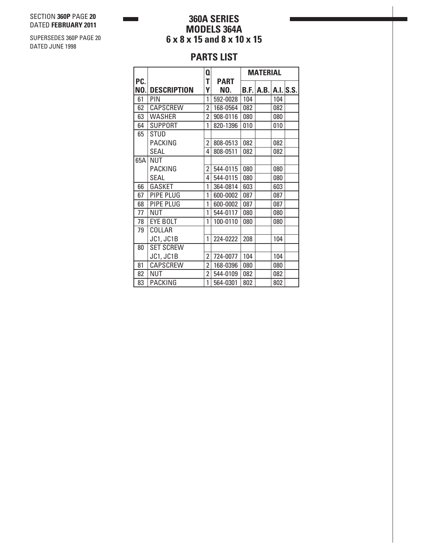**360A SERIES MODELS 364A 6 x 8 x 15 and 8 x 10 x 15**

# **PARTS LIST**

|            |                    | Q                       |                    | <b>MATERIAL</b> |            |          |  |
|------------|--------------------|-------------------------|--------------------|-----------------|------------|----------|--|
| PC.<br>NO. | <b>DESCRIPTION</b> | T<br>Υ                  | <b>PART</b><br>NO. |                 | B.F.  A.B. | A.I.S.S. |  |
|            | <b>PIN</b>         | 1                       |                    |                 |            |          |  |
| 61         |                    |                         | 592-0028           | 104             |            | 104      |  |
| 62         | <b>CAPSCREW</b>    | 2                       | 168-0564           | 082             |            | 082      |  |
| 63         | <b>WASHER</b>      | $\overline{2}$          | 908-0116           | 080             |            | 080      |  |
| 64         | <b>SUPPORT</b>     | 1                       | 820-1396           | 010             |            | 010      |  |
| 65         | <b>STUD</b>        |                         |                    |                 |            |          |  |
|            | <b>PACKING</b>     | 2                       | 808-0513           | 082             |            | 082      |  |
|            | SEAL               | 4                       | 808-0511           | 082             |            | 082      |  |
| 65A        | NUT                |                         |                    |                 |            |          |  |
|            | <b>PACKING</b>     | 2                       | 544-0115           | 080             |            | 080      |  |
|            | SEAL               | 4                       | 544-0115           | 080             |            | 080      |  |
| 66         | <b>GASKET</b>      | 1                       | 364-0814           | 603             |            | 603      |  |
| 67         | PIPE PLUG          | 1                       | 600-0002           | 087             |            | 087      |  |
| 68         | PIPE PLUG          | 1                       | 600-0002           | 087             |            | 087      |  |
| 77         | NUT                | 1                       | 544-0117           | 080             |            | 080      |  |
| 78         | <b>EYE BOLT</b>    | 1                       | 100-0110           | 080             |            | 080      |  |
| 79         | COLLAR             |                         |                    |                 |            |          |  |
|            | JC1, JC1B          | 1                       | 224-0222           | 208             |            | 104      |  |
| 80         | <b>SET SCREW</b>   |                         |                    |                 |            |          |  |
|            | <b>JC1, JC1B</b>   | $\overline{2}$          | 724-0077           | 104             |            | 104      |  |
| 81         | <b>CAPSCREW</b>    | 2                       | 168-0396           | 080             |            | 080      |  |
| 82         | NUT                | $\overline{\mathbf{c}}$ | 544-0109           | 082             |            | 082      |  |
| 83         | <b>PACKING</b>     | 1                       | 564-0301           | 802             |            | 802      |  |

SUPERSEDES 360P PAGE 20 DATED JUNE 1998